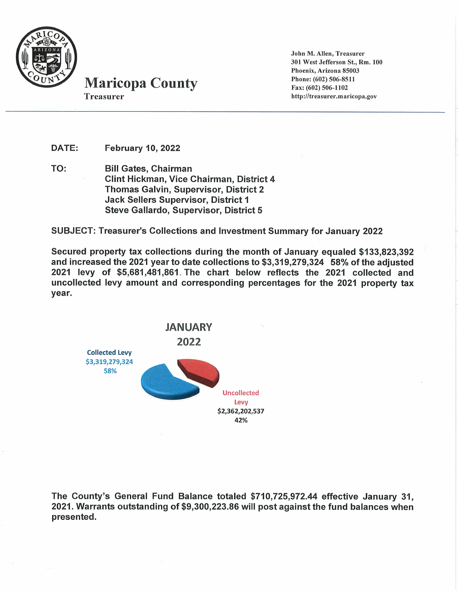

**Maricopa County Treasurer** 

John M. Allen, Treasurer 301 West Jefferson St., Rm. 100 Phoenix, Arizona 85003 Phone: (602) 506-8511 Fax: (602) 506-1102 http://treasurer.maricopa.gov

DATE: **February 10, 2022** 

TO: **Bill Gates, Chairman Clint Hickman, Vice Chairman, District 4** Thomas Galvin, Supervisor, District 2 **Jack Sellers Supervisor, District 1** Steve Gallardo, Supervisor, District 5

**SUBJECT: Treasurer's Collections and Investment Summary for January 2022** 

Secured property tax collections during the month of January equaled \$133,823,392 and increased the 2021 year to date collections to \$3,319,279,324 58% of the adjusted 2021 levy of \$5,681,481,861. The chart below reflects the 2021 collected and uncollected levy amount and corresponding percentages for the 2021 property tax vear.



The County's General Fund Balance totaled \$710,725,972.44 effective January 31, 2021. Warrants outstanding of \$9,300,223.86 will post against the fund balances when presented.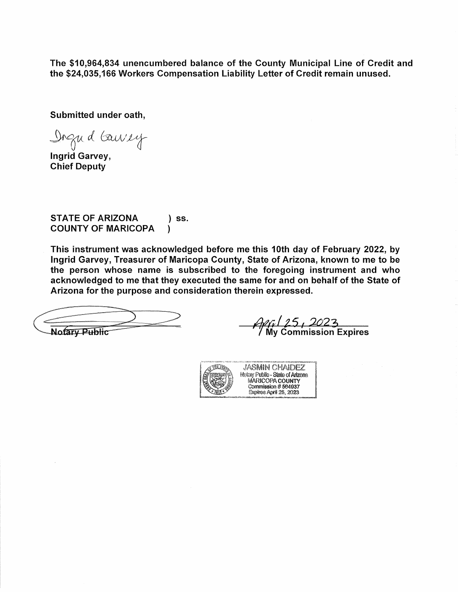The \$10,964,834 unencumbered balance of the County Municipal Line of Credit and the \$24,035,166 Workers Compensation Liability Letter of Credit remain unused.

Submitted under oath,

Digud Gausey

Ingrid Garvey, **Chief Deputy** 

**STATE OF ARIZONA**  $\overline{\phantom{a}}$  ss. **COUNTY OF MARICOPA** Ι

This instrument was acknowledged before me this 10th day of February 2022, by Ingrid Garvey, Treasurer of Maricopa County, State of Arizona, known to me to be the person whose name is subscribed to the foregoing instrument and who acknowledged to me that they executed the same for and on behalf of the State of Arizona for the purpose and consideration therein expressed.

**Notary Public** 

4*47 | 25 <sub>|</sub> 20*23<br>/ My Commission Expires

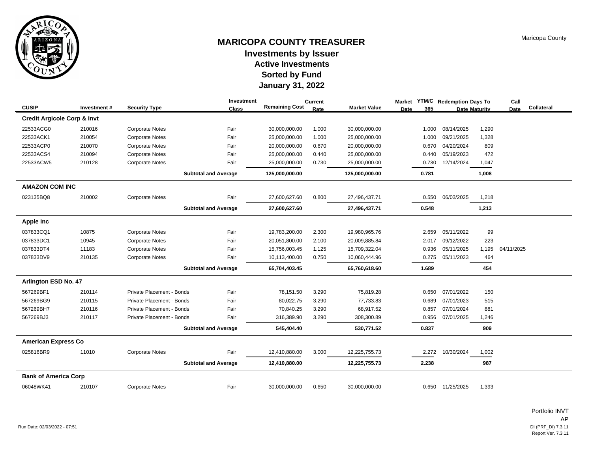

# **MARICOPA COUNTY TREASURER Investments by Issuer Sorted by Fund Active Investments January 31, 2022**

|                                        |             |                           | Investment                  |                       | <b>Current</b> |                     | <b>Market</b> | YTM/C Redemption Days To |                      | Call       |            |
|----------------------------------------|-------------|---------------------------|-----------------------------|-----------------------|----------------|---------------------|---------------|--------------------------|----------------------|------------|------------|
| <b>CUSIP</b>                           | Investment# | <b>Security Type</b>      | <b>Class</b>                | <b>Remaining Cost</b> | Rate           | <b>Market Value</b> | 365<br>Date   |                          | <b>Date Maturity</b> | Date       | Collateral |
| <b>Credit Argicole Corp &amp; Invt</b> |             |                           |                             |                       |                |                     |               |                          |                      |            |            |
| 22533ACG0                              | 210016      | <b>Corporate Notes</b>    | Fair                        | 30,000,000.00         | 1.000          | 30,000,000.00       | 1.000         | 08/14/2025               | 1,290                |            |            |
| 22533ACK1                              | 210054      | <b>Corporate Notes</b>    | Fair                        | 25,000,000.00         | 1.000          | 25,000,000.00       | 1.000         | 09/21/2025               | 1,328                |            |            |
| 22533ACP0                              | 210070      | <b>Corporate Notes</b>    | Fair                        | 20,000,000.00         | 0.670          | 20,000,000.00       | 0.670         | 04/20/2024               | 809                  |            |            |
| 22533ACS4                              | 210094      | <b>Corporate Notes</b>    | Fair                        | 25,000,000.00         | 0.440          | 25,000,000.00       | 0.440         | 05/19/2023               | 472                  |            |            |
| 22533ACW5                              | 210128      | <b>Corporate Notes</b>    | Fair                        | 25,000,000.00         | 0.730          | 25,000,000.00       | 0.730         | 12/14/2024               | 1,047                |            |            |
|                                        |             |                           | <b>Subtotal and Average</b> | 125,000,000.00        |                | 125,000,000.00      | 0.781         |                          | 1,008                |            |            |
| <b>AMAZON COM INC</b>                  |             |                           |                             |                       |                |                     |               |                          |                      |            |            |
| 023135BQ8                              | 210002      | <b>Corporate Notes</b>    | Fair                        | 27,600,627.60         | 0.800          | 27,496,437.71       | 0.550         | 06/03/2025               | 1,218                |            |            |
|                                        |             |                           | <b>Subtotal and Average</b> | 27,600,627.60         |                | 27,496,437.71       | 0.548         |                          | 1,213                |            |            |
| <b>Apple Inc</b>                       |             |                           |                             |                       |                |                     |               |                          |                      |            |            |
| 037833CQ1                              | 10875       | <b>Corporate Notes</b>    | Fair                        | 19,783,200.00         | 2.300          | 19,980,965.76       | 2.659         | 05/11/2022               | 99                   |            |            |
| 037833DC1                              | 10945       | <b>Corporate Notes</b>    | Fair                        | 20,051,800.00         | 2.100          | 20,009,885.84       | 2.017         | 09/12/2022               | 223                  |            |            |
| 037833DT4                              | 11183       | <b>Corporate Notes</b>    | Fair                        | 15,756,003.45         | 1.125          | 15,709,322.04       | 0.936         | 05/11/2025               | 1,195                | 04/11/2025 |            |
| 037833DV9                              | 210135      | <b>Corporate Notes</b>    | Fair                        | 10,113,400.00         | 0.750          | 10,060,444.96       | 0.275         | 05/11/2023               | 464                  |            |            |
|                                        |             |                           | <b>Subtotal and Average</b> | 65,704,403.45         |                | 65,760,618.60       | 1.689         |                          | 454                  |            |            |
| <b>Arlington ESD No. 47</b>            |             |                           |                             |                       |                |                     |               |                          |                      |            |            |
| 567269BF1                              | 210114      | Private Placement - Bonds | Fair                        | 78,151.50             | 3.290          | 75,819.28           | 0.650         | 07/01/2022               | 150                  |            |            |
| 567269BG9                              | 210115      | Private Placement - Bonds | Fair                        | 80,022.75             | 3.290          | 77,733.83           | 0.689         | 07/01/2023               | 515                  |            |            |
| 567269BH7                              | 210116      | Private Placement - Bonds | Fair                        | 70,840.25             | 3.290          | 68,917.52           | 0.857         | 07/01/2024               | 881                  |            |            |
| 567269BJ3                              | 210117      | Private Placement - Bonds | Fair                        | 316,389.90            | 3.290          | 308,300.89          | 0.956         | 07/01/2025               | 1,246                |            |            |
|                                        |             |                           | <b>Subtotal and Average</b> | 545,404.40            |                | 530,771.52          | 0.837         |                          | 909                  |            |            |
| <b>American Express Co</b>             |             |                           |                             |                       |                |                     |               |                          |                      |            |            |
| 025816BR9                              | 11010       | <b>Corporate Notes</b>    | Fair                        | 12,410,880.00         | 3.000          | 12,225,755.73       | 2.272         | 10/30/2024               | 1,002                |            |            |
|                                        |             |                           | <b>Subtotal and Average</b> | 12,410,880.00         |                | 12,225,755.73       | 2.238         |                          | 987                  |            |            |
| <b>Bank of America Corp</b>            |             |                           |                             |                       |                |                     |               |                          |                      |            |            |
| 06048WK41                              | 210107      | <b>Corporate Notes</b>    | Fair                        | 30,000,000.00         | 0.650          | 30,000,000.00       |               | 0.650 11/25/2025         | 1,393                |            |            |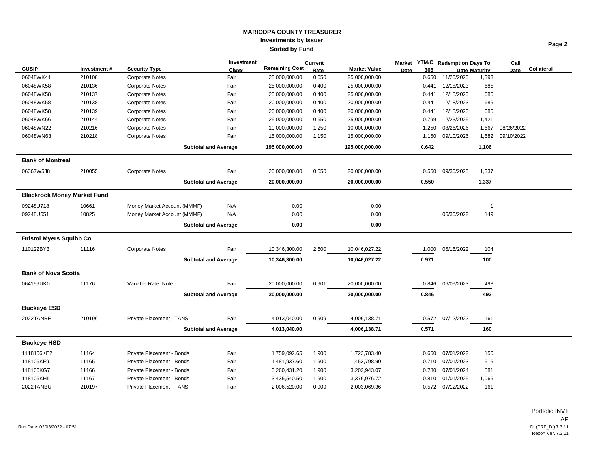|                                    |             |                             | Investment   |                       | <b>Current</b> |                     |             |       | Market YTM/C Redemption Days To |                      | Call       |            |
|------------------------------------|-------------|-----------------------------|--------------|-----------------------|----------------|---------------------|-------------|-------|---------------------------------|----------------------|------------|------------|
| <b>CUSIP</b>                       | Investment# | <b>Security Type</b>        | <b>Class</b> | <b>Remaining Cost</b> | Rate           | <b>Market Value</b> | <b>Date</b> | 365   |                                 | <b>Date Maturity</b> | Date       | Collateral |
| 06048WK41                          | 210108      | <b>Corporate Notes</b>      | Fair         | 25,000,000.00         | 0.650          | 25,000,000.00       |             | 0.650 | 11/25/2025                      | 1,393                |            |            |
| 06048WK58                          | 210136      | Corporate Notes             | Fair         | 25,000,000.00         | 0.400          | 25,000,000.00       |             | 0.441 | 12/18/2023                      | 685                  |            |            |
| 06048WK58                          | 210137      | <b>Corporate Notes</b>      | Fair         | 25,000,000.00         | 0.400          | 25,000,000.00       |             | 0.441 | 12/18/2023                      | 685                  |            |            |
| 06048WK58                          | 210138      | <b>Corporate Notes</b>      | Fair         | 20,000,000.00         | 0.400          | 20,000,000.00       |             | 0.441 | 12/18/2023                      | 685                  |            |            |
| 06048WK58                          | 210139      | <b>Corporate Notes</b>      | Fair         | 20,000,000.00         | 0.400          | 20,000,000.00       |             | 0.441 | 12/18/2023                      | 685                  |            |            |
| 06048WK66                          | 210144      | Corporate Notes             | Fair         | 25,000,000.00         | 0.650          | 25,000,000.00       |             | 0.799 | 12/23/2025                      | 1,421                |            |            |
| 06048WN22                          | 210216      | <b>Corporate Notes</b>      | Fair         | 10,000,000.00         | 1.250          | 10,000,000.00       |             | 1.250 | 08/26/2026                      | 1,667                | 08/26/2022 |            |
| 06048WN63                          | 210218      | Corporate Notes             | Fair         | 15,000,000.00         | 1.150          | 15,000,000.00       |             | 1.150 | 09/10/2026                      | 1,682                | 09/10/2022 |            |
|                                    |             | <b>Subtotal and Average</b> |              | 195,000,000.00        |                | 195,000,000.00      |             | 0.642 |                                 | 1,106                |            |            |
| <b>Bank of Montreal</b>            |             |                             |              |                       |                |                     |             |       |                                 |                      |            |            |
| 06367W5J8                          | 210055      | <b>Corporate Notes</b>      | Fair         | 20,000,000.00         | 0.550          | 20,000,000.00       |             | 0.550 | 09/30/2025                      | 1,337                |            |            |
|                                    |             | <b>Subtotal and Average</b> |              | 20,000,000.00         |                | 20,000,000.00       |             | 0.550 |                                 | 1,337                |            |            |
| <b>Blackrock Money Market Fund</b> |             |                             |              |                       |                |                     |             |       |                                 |                      |            |            |
| 09248U718                          | 10661       | Money Market Account (MMMF) | N/A          | 0.00                  |                | 0.00                |             |       |                                 | $\overline{1}$       |            |            |
| 09248U551                          | 10825       | Money Market Account (MMMF) | N/A          | 0.00                  |                | 0.00                |             |       | 06/30/2022                      | 149                  |            |            |
|                                    |             | <b>Subtotal and Average</b> |              | 0.00                  |                | 0.00                |             |       |                                 |                      |            |            |
| <b>Bristol Myers Squibb Co</b>     |             |                             |              |                       |                |                     |             |       |                                 |                      |            |            |
| 110122BY3                          | 11116       | <b>Corporate Notes</b>      | Fair         | 10,346,300.00         | 2.600          | 10,046,027.22       |             | 1.000 | 05/16/2022                      | 104                  |            |            |
|                                    |             | <b>Subtotal and Average</b> |              | 10,346,300.00         |                | 10,046,027.22       |             | 0.971 |                                 | 100                  |            |            |
| <b>Bank of Nova Scotia</b>         |             |                             |              |                       |                |                     |             |       |                                 |                      |            |            |
| 064159UK0                          | 11176       | Variable Rate Note -        | Fair         | 20,000,000.00         | 0.901          | 20,000,000.00       |             | 0.846 | 06/09/2023                      | 493                  |            |            |
|                                    |             | <b>Subtotal and Average</b> |              | 20,000,000.00         |                | 20,000,000.00       |             | 0.846 |                                 | 493                  |            |            |
| <b>Buckeye ESD</b>                 |             |                             |              |                       |                |                     |             |       |                                 |                      |            |            |
| 2022TANBE                          | 210196      | Private Placement - TANS    | Fair         | 4,013,040.00          | 0.909          | 4,006,138.71        |             | 0.572 | 07/12/2022                      | 161                  |            |            |
|                                    |             | <b>Subtotal and Average</b> |              | 4,013,040.00          |                | 4,006,138.71        |             | 0.571 |                                 | 160                  |            |            |
| <b>Buckeye HSD</b>                 |             |                             |              |                       |                |                     |             |       |                                 |                      |            |            |
| 1118106KE2                         | 11164       | Private Placement - Bonds   | Fair         | 1,759,092.65          | 1.900          | 1,723,783.40        |             | 0.660 | 07/01/2022                      | 150                  |            |            |
| 118106KF9                          | 11165       | Private Placement - Bonds   | Fair         | 1,481,937.60          | 1.900          | 1,453,798.90        |             | 0.710 | 07/01/2023                      | 515                  |            |            |
| 118106KG7                          | 11166       | Private Placement - Bonds   | Fair         | 3,260,431.20          | 1.900          | 3,202,943.07        |             | 0.780 | 07/01/2024                      | 881                  |            |            |
| 118106KH5                          | 11167       | Private Placement - Bonds   | Fair         | 3,435,540.50          | 1.900          | 3,376,976.72        |             | 0.810 | 01/01/2025                      | 1,065                |            |            |
| 2022TANBU                          | 210197      | Private Placement - TANS    | Fair         | 2,006,520.00          | 0.909          | 2,003,069.36        |             |       | 0.572 07/12/2022                | 161                  |            |            |

Portfolio INVT AP DI (PRF\_DI) 7.3.11<br>Report Ver. 7.3.11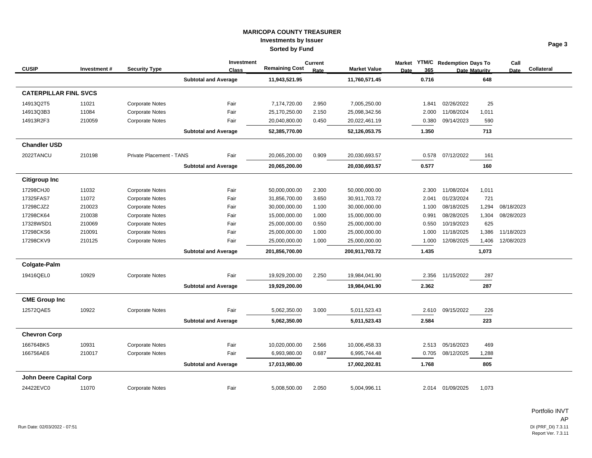|                              |             |                          | <b>Investment</b>           | <b>Remaining Cost</b> | <b>Current</b> |                     | <b>Market</b> |       | <b>YTM/C</b> Redemption Days To |       | Call       |            |
|------------------------------|-------------|--------------------------|-----------------------------|-----------------------|----------------|---------------------|---------------|-------|---------------------------------|-------|------------|------------|
| <b>CUSIP</b>                 | Investment# | <b>Security Type</b>     | <b>Class</b>                |                       | Rate           | <b>Market Value</b> | <b>Date</b>   | 365   | <b>Date Maturity</b>            |       | Date       | Collateral |
|                              |             |                          | <b>Subtotal and Average</b> | 11,943,521.95         |                | 11,760,571.45       |               | 0.716 |                                 | 648   |            |            |
| <b>CATERPILLAR FINL SVCS</b> |             |                          |                             |                       |                |                     |               |       |                                 |       |            |            |
| 14913Q2T5                    | 11021       | <b>Corporate Notes</b>   | Fair                        | 7,174,720.00          | 2.950          | 7,005,250.00        |               | 1.841 | 02/26/2022                      | 25    |            |            |
| 14913Q3B3                    | 11084       | <b>Corporate Notes</b>   | Fair                        | 25,170,250.00         | 2.150          | 25,098,342.56       |               | 2.000 | 11/08/2024                      | 1,011 |            |            |
| 14913R2F3                    | 210059      | <b>Corporate Notes</b>   | Fair                        | 20,040,800.00         | 0.450          | 20,022,461.19       |               | 0.380 | 09/14/2023                      | 590   |            |            |
|                              |             |                          | <b>Subtotal and Average</b> | 52,385,770.00         |                | 52,126,053.75       |               | 1.350 |                                 | 713   |            |            |
| <b>Chandler USD</b>          |             |                          |                             |                       |                |                     |               |       |                                 |       |            |            |
| 2022TANCU                    | 210198      | Private Placement - TANS | Fair                        | 20,065,200.00         | 0.909          | 20,030,693.57       |               | 0.578 | 07/12/2022                      | 161   |            |            |
|                              |             |                          | <b>Subtotal and Average</b> | 20,065,200.00         |                | 20,030,693.57       |               | 0.577 |                                 | 160   |            |            |
| <b>Citigroup Inc</b>         |             |                          |                             |                       |                |                     |               |       |                                 |       |            |            |
| 17298CHJ0                    | 11032       | <b>Corporate Notes</b>   | Fair                        | 50,000,000.00         | 2.300          | 50,000,000.00       |               | 2.300 | 11/08/2024                      | 1,011 |            |            |
| 17325FAS7                    | 11072       | <b>Corporate Notes</b>   | Fair                        | 31,856,700.00         | 3.650          | 30,911,703.72       |               | 2.041 | 01/23/2024                      | 721   |            |            |
| 17298CJZ2                    | 210023      | <b>Corporate Notes</b>   | Fair                        | 30,000,000.00         | 1.100          | 30,000,000.00       |               | 1.100 | 08/18/2025                      | 1,294 | 08/18/2023 |            |
| 17298CK64                    | 210038      | <b>Corporate Notes</b>   | Fair                        | 15,000,000.00         | 1.000          | 15,000,000.00       |               | 0.991 | 08/28/2025                      | 1,304 | 08/28/2023 |            |
| 17328WSD1                    | 210069      | <b>Corporate Notes</b>   | Fair                        | 25,000,000.00         | 0.550          | 25,000,000.00       |               | 0.550 | 10/19/2023                      | 625   |            |            |
| 17298CKS6                    | 210091      | <b>Corporate Notes</b>   | Fair                        | 25,000,000.00         | 1.000          | 25,000,000.00       |               | 1.000 | 11/18/2025                      | 1,386 | 11/18/2023 |            |
| 17298CKV9                    | 210125      | <b>Corporate Notes</b>   | Fair                        | 25,000,000.00         | 1.000          | 25,000,000.00       |               | 1.000 | 12/08/2025                      | 1,406 | 12/08/2023 |            |
|                              |             |                          | <b>Subtotal and Average</b> | 201,856,700.00        |                | 200,911,703.72      |               | 1.435 |                                 | 1,073 |            |            |
| <b>Colgate-Palm</b>          |             |                          |                             |                       |                |                     |               |       |                                 |       |            |            |
| 19416QEL0                    | 10929       | <b>Corporate Notes</b>   | Fair                        | 19,929,200.00         | 2.250          | 19,984,041.90       |               | 2.356 | 11/15/2022                      | 287   |            |            |
|                              |             |                          | <b>Subtotal and Average</b> | 19,929,200.00         |                | 19,984,041.90       |               | 2.362 |                                 | 287   |            |            |
| <b>CME Group Inc</b>         |             |                          |                             |                       |                |                     |               |       |                                 |       |            |            |
| 12572QAE5                    | 10922       | <b>Corporate Notes</b>   | Fair                        | 5,062,350.00          | 3.000          | 5,011,523.43        |               | 2.610 | 09/15/2022                      | 226   |            |            |
|                              |             |                          | <b>Subtotal and Average</b> | 5,062,350.00          |                | 5,011,523.43        |               | 2.584 |                                 | 223   |            |            |
| <b>Chevron Corp</b>          |             |                          |                             |                       |                |                     |               |       |                                 |       |            |            |
| 166764BK5                    | 10931       | <b>Corporate Notes</b>   | Fair                        | 10,020,000.00         | 2.566          | 10,006,458.33       |               | 2.513 | 05/16/2023                      | 469   |            |            |
| 166756AE6                    | 210017      | <b>Corporate Notes</b>   | Fair                        | 6,993,980.00          | 0.687          | 6,995,744.48        |               | 0.705 | 08/12/2025                      | 1,288 |            |            |
|                              |             |                          | <b>Subtotal and Average</b> | 17,013,980.00         |                | 17,002,202.81       |               | 1.768 |                                 | 805   |            |            |
| John Deere Capital Corp      |             |                          |                             |                       |                |                     |               |       |                                 |       |            |            |
| 24422EVC0                    | 11070       | <b>Corporate Notes</b>   | Fair                        | 5,008,500.00          | 2.050          | 5,004,996.11        |               |       | 2.014 01/09/2025                | 1,073 |            |            |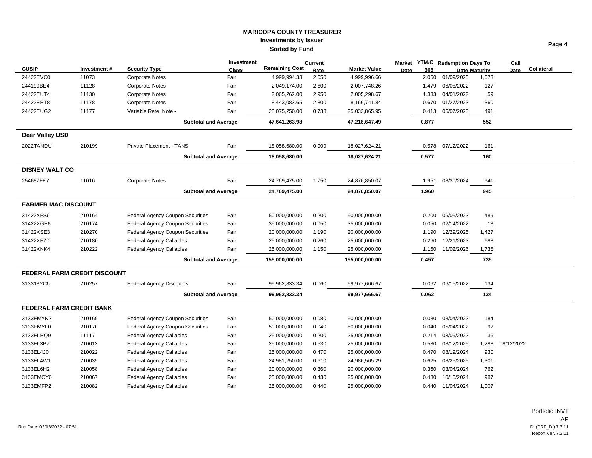|                            |                                     |                                         | <b>Investment</b> |                       | <b>Current</b> |                     | Market      |       | <b>YTM/C</b> Redemption Days To |                      | Call       |            |
|----------------------------|-------------------------------------|-----------------------------------------|-------------------|-----------------------|----------------|---------------------|-------------|-------|---------------------------------|----------------------|------------|------------|
| <b>CUSIP</b>               | Investment#                         | <b>Security Type</b>                    | <b>Class</b>      | <b>Remaining Cost</b> | Rate           | <b>Market Value</b> | <b>Date</b> | 365   |                                 | <b>Date Maturity</b> | Date       | Collateral |
| 24422EVC0                  | 11073                               | <b>Corporate Notes</b>                  | Fair              | 4,999,994.33          | 2.050          | 4,999,996.66        |             | 2.050 | 01/09/2025                      | 1,073                |            |            |
| 244199BE4                  | 11128                               | <b>Corporate Notes</b>                  | Fair              | 2,049,174.00          | 2.600          | 2,007,748.26        |             | 1.479 | 06/08/2022                      | 127                  |            |            |
| 24422EUT4                  | 11130                               | <b>Corporate Notes</b>                  | Fair              | 2,065,262.00          | 2.950          | 2,005,298.67        |             | 1.333 | 04/01/2022                      | 59                   |            |            |
| 24422ERT8                  | 11178                               | <b>Corporate Notes</b>                  | Fair              | 8,443,083.65          | 2.800          | 8,166,741.84        |             | 0.670 | 01/27/2023                      | 360                  |            |            |
| 24422EUG2                  | 11177                               | Variable Rate Note -                    | Fair              | 25,075,250.00         | 0.738          | 25,033,865.95       |             | 0.413 | 06/07/2023                      | 491                  |            |            |
|                            |                                     | <b>Subtotal and Average</b>             |                   | 47,641,263.98         |                | 47,218,647.49       |             | 0.877 |                                 | 552                  |            |            |
| Deer Valley USD            |                                     |                                         |                   |                       |                |                     |             |       |                                 |                      |            |            |
| 2022TANDU                  | 210199                              | <b>Private Placement - TANS</b>         | Fair              | 18,058,680.00         | 0.909          | 18,027,624.21       |             | 0.578 | 07/12/2022                      | 161                  |            |            |
|                            |                                     | <b>Subtotal and Average</b>             |                   | 18,058,680.00         |                | 18,027,624.21       |             | 0.577 |                                 | 160                  |            |            |
| <b>DISNEY WALT CO</b>      |                                     |                                         |                   |                       |                |                     |             |       |                                 |                      |            |            |
| 254687FK7                  | 11016                               | <b>Corporate Notes</b>                  | Fair              | 24,769,475.00         | 1.750          | 24,876,850.07       |             | 1.951 | 08/30/2024                      | 941                  |            |            |
|                            |                                     | <b>Subtotal and Average</b>             |                   | 24,769,475.00         |                | 24,876,850.07       |             | 1.960 |                                 | 945                  |            |            |
| <b>FARMER MAC DISCOUNT</b> |                                     |                                         |                   |                       |                |                     |             |       |                                 |                      |            |            |
| 31422XFS6                  | 210164                              | <b>Federal Agency Coupon Securities</b> | Fair              | 50,000,000.00         | 0.200          | 50,000,000.00       |             | 0.200 | 06/05/2023                      | 489                  |            |            |
| 31422XGE6                  | 210174                              | <b>Federal Agency Coupon Securities</b> | Fair              | 35,000,000.00         | 0.050          | 35,000,000.00       |             | 0.050 | 02/14/2022                      | 13                   |            |            |
| 31422XSE3                  | 210270                              | <b>Federal Agency Coupon Securities</b> | Fair              | 20,000,000.00         | 1.190          | 20,000,000.00       |             | 1.190 | 12/29/2025                      | 1,427                |            |            |
| 31422XFZ0                  | 210180                              | <b>Federal Agency Callables</b>         | Fair              | 25,000,000.00         | 0.260          | 25,000,000.00       |             | 0.260 | 12/21/2023                      | 688                  |            |            |
| 31422XNK4                  | 210222                              | <b>Federal Agency Callables</b>         | Fair              | 25,000,000.00         | 1.150          | 25,000,000.00       |             | 1.150 | 11/02/2026                      | 1,735                |            |            |
|                            |                                     | <b>Subtotal and Average</b>             |                   | 155,000,000.00        |                | 155,000,000.00      |             | 0.457 |                                 | 735                  |            |            |
|                            | <b>FEDERAL FARM CREDIT DISCOUNT</b> |                                         |                   |                       |                |                     |             |       |                                 |                      |            |            |
| 313313YC6                  | 210257                              | <b>Federal Agency Discounts</b>         | Fair              | 99,962,833.34         | 0.060          | 99,977,666.67       |             | 0.062 | 06/15/2022                      | 134                  |            |            |
|                            |                                     | <b>Subtotal and Average</b>             |                   | 99,962,833.34         |                | 99,977,666.67       |             | 0.062 |                                 | 134                  |            |            |
| FEDERAL FARM CREDIT BANK   |                                     |                                         |                   |                       |                |                     |             |       |                                 |                      |            |            |
| 3133EMYK2                  | 210169                              | <b>Federal Agency Coupon Securities</b> | Fair              | 50,000,000.00         | 0.080          | 50,000,000.00       |             | 0.080 | 08/04/2022                      | 184                  |            |            |
| 3133EMYL0                  | 210170                              | <b>Federal Agency Coupon Securities</b> | Fair              | 50,000,000.00         | 0.040          | 50,000,000.00       |             | 0.040 | 05/04/2022                      | 92                   |            |            |
| 3133ELRQ9                  | 11117                               | <b>Federal Agency Callables</b>         | Fair              | 25,000,000.00         | 0.200          | 25,000,000.00       |             | 0.214 | 03/09/2022                      | 36                   |            |            |
| 3133EL3P7                  | 210013                              | <b>Federal Agency Callables</b>         | Fair              | 25,000,000.00         | 0.530          | 25,000,000.00       |             | 0.530 | 08/12/2025                      | 1,288                | 08/12/2022 |            |
| 3133EL4J0                  | 210022                              | <b>Federal Agency Callables</b>         | Fair              | 25,000,000.00         | 0.470          | 25,000,000.00       |             | 0.470 | 08/19/2024                      | 930                  |            |            |
| 3133EL4W1                  | 210039                              | <b>Federal Agency Callables</b>         | Fair              | 24,981,250.00         | 0.610          | 24,986,565.29       |             | 0.625 | 08/25/2025                      | 1,301                |            |            |
| 3133EL6H2                  | 210058                              | <b>Federal Agency Callables</b>         | Fair              | 20,000,000.00         | 0.360          | 20,000,000.00       |             | 0.360 | 03/04/2024                      | 762                  |            |            |
| 3133EMCY6                  | 210067                              | <b>Federal Agency Callables</b>         | Fair              | 25,000,000.00         | 0.430          | 25,000,000.00       |             | 0.430 | 10/15/2024                      | 987                  |            |            |
| 3133EMFP2                  | 210082                              | <b>Federal Agency Callables</b>         | Fair              | 25,000,000.00         | 0.440          | 25,000,000.00       |             | 0.440 | 11/04/2024                      | 1,007                |            |            |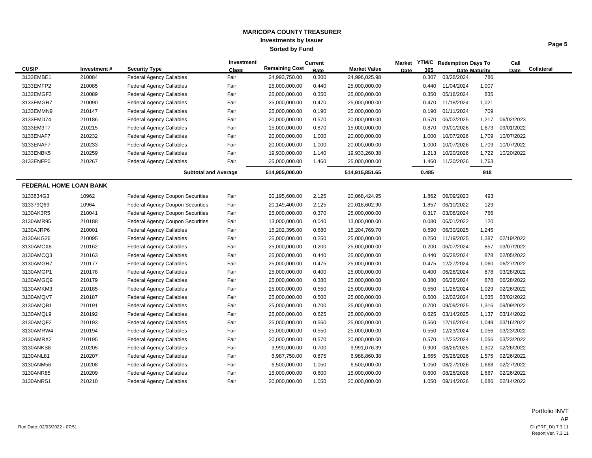| e<br>-20<br>۰ |
|---------------|
|---------------|

|                               |             |                                         | Investment   |                       | <b>Current</b> |                     | Market      | <b>YTM/C</b> Redemption Days To |                      | Call       |            |
|-------------------------------|-------------|-----------------------------------------|--------------|-----------------------|----------------|---------------------|-------------|---------------------------------|----------------------|------------|------------|
| <b>CUSIP</b>                  | Investment# | <b>Security Type</b>                    | <b>Class</b> | <b>Remaining Cost</b> | Rate           | <b>Market Value</b> | 365<br>Date |                                 | <b>Date Maturity</b> | Date       | Collateral |
| 3133EMBE1                     | 210084      | <b>Federal Agency Callables</b>         | Fair         | 24,993,750.00         | 0.300          | 24,996,025.98       | 0.307       | 03/28/2024                      | 786                  |            |            |
| 3133EMFP2                     | 210085      | <b>Federal Agency Callables</b>         | Fair         | 25,000,000.00         | 0.440          | 25,000,000.00       | 0.440       | 11/04/2024                      | 1,007                |            |            |
| 3133EMGF3                     | 210089      | <b>Federal Agency Callables</b>         | Fair         | 25,000,000.00         | 0.350          | 25,000,000.00       | 0.350       | 05/16/2024                      | 835                  |            |            |
| 3133EMGR7                     | 210090      | <b>Federal Agency Callables</b>         | Fair         | 25,000,000.00         | 0.470          | 25,000,000.00       | 0.470       | 11/18/2024                      | 1,021                |            |            |
| 3133EMMN9                     | 210147      | <b>Federal Agency Callables</b>         | Fair         | 25,000,000.00         | 0.190          | 25,000,000.00       | 0.190       | 01/11/2024                      | 709                  |            |            |
| 3133EMD74                     | 210186      | <b>Federal Agency Callables</b>         | Fair         | 20,000,000.00         | 0.570          | 20,000,000.00       | 0.570       | 06/02/2025                      | 1,217                | 06/02/2023 |            |
| 3133EM3T7                     | 210215      | <b>Federal Agency Callables</b>         | Fair         | 15,000,000.00         | 0.870          | 15,000,000.00       | 0.870       | 09/01/2026                      | 1,673                | 09/01/2022 |            |
| 3133ENAF7                     | 210232      | <b>Federal Agency Callables</b>         | Fair         | 20,000,000.00         | 1.000          | 20,000,000.00       | 1.000       | 10/07/2026                      | 1,709                | 10/07/2022 |            |
| 3133ENAF7                     | 210233      | <b>Federal Agency Callables</b>         | Fair         | 20,000,000.00         | 1.000          | 20,000,000.00       | 1.000       | 10/07/2026                      | 1,709                | 10/07/2022 |            |
| 3133ENBK5                     | 210259      | <b>Federal Agency Callables</b>         | Fair         | 19,930,000.00         | 1.140          | 19,933,260.38       | 1.213       | 10/20/2026                      | 1,722                | 10/20/2022 |            |
| 3133ENFP0                     | 210267      | <b>Federal Agency Callables</b>         | Fair         | 25,000,000.00         | 1.460          | 25,000,000.00       | 1.460       | 11/30/2026                      | 1,763                |            |            |
|                               |             | <b>Subtotal and Average</b>             |              | 514,905,000.00        |                | 514,915,851.65      | 0.485       |                                 | 918                  |            |            |
| <b>FEDERAL HOME LOAN BANK</b> |             |                                         |              |                       |                |                     |             |                                 |                      |            |            |
| 3133834G3                     | 10962       | <b>Federal Agency Coupon Securities</b> | Fair         | 20,195,600.00         | 2.125          | 20,068,424.95       | 1.862       | 06/09/2023                      | 493                  |            |            |
| 313379Q69                     | 10964       | <b>Federal Agency Coupon Securities</b> | Fair         | 20,149,400.00         | 2.125          | 20,018,602.90       | 1.857       | 06/10/2022                      | 129                  |            |            |
| 3130AK3R5                     | 210041      | <b>Federal Agency Coupon Securities</b> | Fair         | 25,000,000.00         | 0.370          | 25,000,000.00       | 0.317       | 03/08/2024                      | 766                  |            |            |
| 3130AMR95                     | 210188      | <b>Federal Agency Coupon Securities</b> | Fair         | 13,000,000.00         | 0.040          | 13,000,000.00       | 0.080       | 06/01/2022                      | 120                  |            |            |
| 3130AJRP6                     | 210001      | <b>Federal Agency Callables</b>         | Fair         | 15,202,395.00         | 0.680          | 15,204,769.70       | 0.690       | 06/30/2025                      | 1,245                |            |            |
| 3130AKG26                     | 210095      | <b>Federal Agency Callables</b>         | Fair         | 25,000,000.00         | 0.250          | 25,000,000.00       | 0.250       | 11/19/2025                      | 1,387                | 02/19/2022 |            |
| 3130AMCX8                     | 210162      | <b>Federal Agency Callables</b>         | Fair         | 25,000,000.00         | 0.200          | 25,000,000.00       | 0.200       | 06/07/2024                      | 857                  | 03/07/2022 |            |
| 3130AMCQ3                     | 210163      | <b>Federal Agency Callables</b>         | Fair         | 25,000,000.00         | 0.440          | 25,000,000.00       | 0.440       | 06/28/2024                      | 878                  | 02/05/2022 |            |
| 3130AMGR7                     | 210177      | <b>Federal Agency Callables</b>         | Fair         | 25,000,000.00         | 0.475          | 25,000,000.00       | 0.475       | 12/27/2024                      | 1,060                | 06/27/2022 |            |
| 3130AMGP1                     | 210178      | <b>Federal Agency Callables</b>         | Fair         | 25,000,000.00         | 0.400          | 25,000,000.00       | 0.400       | 06/28/2024                      | 878                  | 03/28/2022 |            |
| 3130AMGQ9                     | 210179      | <b>Federal Agency Callables</b>         | Fair         | 25,000,000.00         | 0.380          | 25,000,000.00       | 0.380       | 06/28/2024                      | 878                  | 06/28/2022 |            |
| 3130AMKM3                     | 210185      | <b>Federal Agency Callables</b>         | Fair         | 25,000,000.00         | 0.550          | 25,000,000.00       | 0.550       | 11/26/2024                      | 1,029                | 02/26/2022 |            |
| 3130AMQV7                     | 210187      | <b>Federal Agency Callables</b>         | Fair         | 25,000,000.00         | 0.500          | 25,000,000.00       | 0.500       | 12/02/2024                      | 1,035                | 03/02/2022 |            |
| 3130AMQB1                     | 210191      | <b>Federal Agency Callables</b>         | Fair         | 25,000,000.00         | 0.700          | 25,000,000.00       | 0.700       | 09/09/2025                      | 1,316                | 09/09/2022 |            |
| 3130AMQL9                     | 210192      | <b>Federal Agency Callables</b>         | Fair         | 25,000,000.00         | 0.625          | 25,000,000.00       | 0.625       | 03/14/2025                      | 1,137                | 03/14/2022 |            |
| 3130AMQF2                     | 210193      | <b>Federal Agency Callables</b>         | Fair         | 25,000,000.00         | 0.560          | 25,000,000.00       | 0.560       | 12/16/2024                      | 1,049                | 03/16/2022 |            |
| 3130AMRW4                     | 210194      | <b>Federal Agency Callables</b>         | Fair         | 25,000,000.00         | 0.550          | 25,000,000.00       | 0.550       | 12/23/2024                      | 1,056                | 03/23/2022 |            |
| 3130AMRX2                     | 210195      | <b>Federal Agency Callables</b>         | Fair         | 20,000,000.00         | 0.570          | 20,000,000.00       | 0.570       | 12/23/2024                      | 1,056                | 03/23/2022 |            |
| 3130ANKS8                     | 210205      | <b>Federal Agency Callables</b>         | Fair         | 9,990,000.00          | 0.700          | 9,991,076.39        | 0.900       | 08/26/2025                      | 1,302                | 02/26/2022 |            |
| 3130ANL81                     | 210207      | <b>Federal Agency Callables</b>         | Fair         | 6,987,750.00          | 0.875          | 6,988,860.38        | 1.665       | 05/26/2026                      | 1,575                | 02/26/2022 |            |
| 3130ANM56                     | 210208      | <b>Federal Agency Callables</b>         | Fair         | 6,500,000.00          | 1.050          | 6,500,000.00        | 1.050       | 08/27/2026                      | 1,668                | 02/27/2022 |            |
| 3130ANR85                     | 210209      | <b>Federal Agency Callables</b>         | Fair         | 15,000,000.00         | 0.600          | 15,000,000.00       | 0.600       | 08/26/2026                      | 1,667                | 02/26/2022 |            |
| 3130ANRS1                     | 210210      | <b>Federal Agency Callables</b>         | Fair         | 20,000,000.00         | 1.050          | 20,000,000.00       | 1.050       | 09/14/2026                      | 1,686                | 02/14/2022 |            |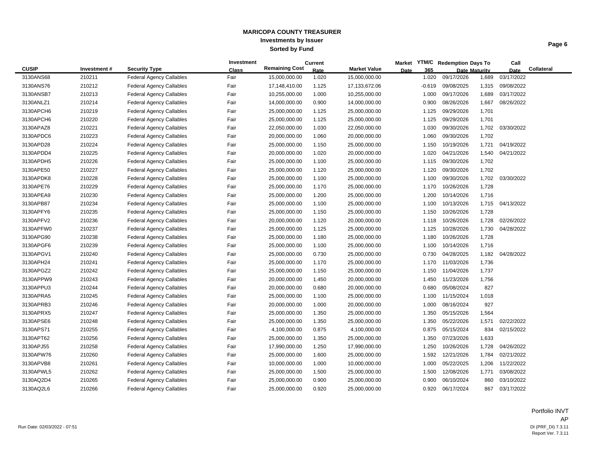|--|

|              |             |                                 | Investment   |                       | <b>Current</b> |                     | Market      |          | YTM/C Redemption Days To |                      | Call       |            |
|--------------|-------------|---------------------------------|--------------|-----------------------|----------------|---------------------|-------------|----------|--------------------------|----------------------|------------|------------|
| <b>CUSIP</b> | Investment# | <b>Security Type</b>            | <b>Class</b> | <b>Remaining Cost</b> | Rate           | <b>Market Value</b> | <b>Date</b> | 365      |                          | <b>Date Maturity</b> | Date       | Collateral |
| 3130ANS68    | 210211      | <b>Federal Agency Callables</b> | Fair         | 15,000,000.00         | 1.020          | 15,000,000.00       |             | 1.020    | 09/17/2026               | 1,689                | 03/17/2022 |            |
| 3130ANS76    | 210212      | <b>Federal Agency Callables</b> | Fair         | 17,148,410.00         | 1.125          | 17,133,672.06       |             | $-0.619$ | 09/08/2025               | 1,315                | 09/08/2022 |            |
| 3130ANSB7    | 210213      | <b>Federal Agency Callables</b> | Fair         | 10,255,000.00         | 1.000          | 10,255,000.00       |             | 1.000    | 09/17/2026               | 1,689                | 03/17/2022 |            |
| 3130ANLZ1    | 210214      | <b>Federal Agency Callables</b> | Fair         | 14,000,000.00         | 0.900          | 14,000,000.00       |             | 0.900    | 08/26/2026               | 1,667                | 08/26/2022 |            |
| 3130APCH6    | 210219      | <b>Federal Agency Callables</b> | Fair         | 25,000,000.00         | 1.125          | 25,000,000.00       |             | 1.125    | 09/29/2026               | 1,701                |            |            |
| 3130APCH6    | 210220      | <b>Federal Agency Callables</b> | Fair         | 25,000,000.00         | 1.125          | 25,000,000.00       |             | 1.125    | 09/29/2026               | 1,701                |            |            |
| 3130APAZ8    | 210221      | <b>Federal Agency Callables</b> | Fair         | 22,050,000.00         | 1.030          | 22,050,000.00       |             | 1.030    | 09/30/2026               | 1,702                | 03/30/2022 |            |
| 3130APDC6    | 210223      | <b>Federal Agency Callables</b> | Fair         | 20,000,000.00         | 1.060          | 20,000,000.00       |             | 1.060    | 09/30/2026               | 1,702                |            |            |
| 3130APD28    | 210224      | <b>Federal Agency Callables</b> | Fair         | 25,000,000.00         | 1.150          | 25,000,000.00       |             | 1.150    | 10/19/2026               | 1,721                | 04/19/2022 |            |
| 3130APDD4    | 210225      | <b>Federal Agency Callables</b> | Fair         | 20,000,000.00         | 1.020          | 20,000,000.00       |             | 1.020    | 04/21/2026               | 1,540                | 04/21/2022 |            |
| 3130APDH5    | 210226      | <b>Federal Agency Callables</b> | Fair         | 25,000,000.00         | 1.100          | 25,000,000.00       |             | 1.115    | 09/30/2026               | 1,702                |            |            |
| 3130APE50    | 210227      | <b>Federal Agency Callables</b> | Fair         | 25,000,000.00         | 1.120          | 25,000,000.00       |             | 1.120    | 09/30/2026               | 1,702                |            |            |
| 3130APDK8    | 210228      | <b>Federal Agency Callables</b> | Fair         | 25,000,000.00         | 1.100          | 25,000,000.00       |             | 1.100    | 09/30/2026               | 1,702                | 03/30/2022 |            |
| 3130APE76    | 210229      | <b>Federal Agency Callables</b> | Fair         | 25,000,000.00         | 1.170          | 25,000,000.00       |             | 1.170    | 10/26/2026               | 1,728                |            |            |
| 3130APEA9    | 210230      | <b>Federal Agency Callables</b> | Fair         | 25,000,000.00         | 1.200          | 25,000,000.00       |             | 1.200    | 10/14/2026               | 1,716                |            |            |
| 3130APB87    | 210234      | <b>Federal Agency Callables</b> | Fair         | 25,000,000.00         | 1.100          | 25,000,000.00       |             | 1.100    | 10/13/2026               | 1,715                | 04/13/2022 |            |
| 3130APFY6    | 210235      | <b>Federal Agency Callables</b> | Fair         | 25,000,000.00         | 1.150          | 25,000,000.00       |             | 1.150    | 10/26/2026               | 1,728                |            |            |
| 3130APFV2    | 210236      | <b>Federal Agency Callables</b> | Fair         | 20,000,000.00         | 1.120          | 20,000,000.00       |             | 1.118    | 10/26/2026               | 1,728                | 02/26/2022 |            |
| 3130APFW0    | 210237      | <b>Federal Agency Callables</b> | Fair         | 25,000,000.00         | 1.125          | 25,000,000.00       |             | 1.125    | 10/28/2026               | 1,730                | 04/28/2022 |            |
| 3130APG90    | 210238      | <b>Federal Agency Callables</b> | Fair         | 25,000,000.00         | 1.180          | 25,000,000.00       |             | 1.180    | 10/26/2026               | 1,728                |            |            |
| 3130APGF6    | 210239      | <b>Federal Agency Callables</b> | Fair         | 25,000,000.00         | 1.100          | 25,000,000.00       |             | 1.100    | 10/14/2026               | 1,716                |            |            |
| 3130APGV1    | 210240      | <b>Federal Agency Callables</b> | Fair         | 25,000,000.00         | 0.730          | 25,000,000.00       |             | 0.730    | 04/28/2025               | 1,182                | 04/28/2022 |            |
| 3130APH24    | 210241      | <b>Federal Agency Callables</b> | Fair         | 25,000,000.00         | 1.170          | 25,000,000.00       |             | 1.170    | 11/03/2026               | 1,736                |            |            |
| 3130APGZ2    | 210242      | <b>Federal Agency Callables</b> | Fair         | 25,000,000.00         | 1.150          | 25,000,000.00       |             | 1.150    | 11/04/2026               | 1,737                |            |            |
| 3130APPW9    | 210243      | <b>Federal Agency Callables</b> | Fair         | 20,000,000.00         | 1.450          | 20,000,000.00       |             | 1.450    | 11/23/2026               | 1,756                |            |            |
| 3130APPU3    | 210244      | <b>Federal Agency Callables</b> | Fair         | 20,000,000.00         | 0.680          | 20,000,000.00       |             | 0.680    | 05/08/2024               | 827                  |            |            |
| 3130APRA5    | 210245      | <b>Federal Agency Callables</b> | Fair         | 25,000,000.00         | 1.100          | 25,000,000.00       |             | 1.100    | 11/15/2024               | 1,018                |            |            |
| 3130APRB3    | 210246      | <b>Federal Agency Callables</b> | Fair         | 20,000,000.00         | 1.000          | 20,000,000.00       |             | 1.000    | 08/16/2024               | 927                  |            |            |
| 3130APRX5    | 210247      | <b>Federal Agency Callables</b> | Fair         | 25,000,000.00         | 1.350          | 25,000,000.00       |             | 1.350    | 05/15/2026               | 1,564                |            |            |
| 3130APSE6    | 210248      | <b>Federal Agency Callables</b> | Fair         | 25,000,000.00         | 1.350          | 25,000,000.00       |             | 1.350    | 05/22/2026               | 1,571                | 02/22/2022 |            |
| 3130APS71    | 210255      | <b>Federal Agency Callables</b> | Fair         | 4,100,000.00          | 0.875          | 4,100,000.00        |             | 0.875    | 05/15/2024               | 834                  | 02/15/2022 |            |
| 3130APT62    | 210256      | <b>Federal Agency Callables</b> | Fair         | 25,000,000.00         | 1.350          | 25,000,000.00       |             | 1.350    | 07/23/2026               | 1,633                |            |            |
| 3130APJ55    | 210258      | <b>Federal Agency Callables</b> | Fair         | 17,990,000.00         | 1.250          | 17,990,000.00       |             | 1.250    | 10/26/2026               | 1,728                | 04/26/2022 |            |
| 3130APW76    | 210260      | <b>Federal Agency Callables</b> | Fair         | 25,000,000.00         | 1.600          | 25,000,000.00       |             | 1.592    | 12/21/2026               | 1,784                | 02/21/2022 |            |
| 3130APVB8    | 210261      | <b>Federal Agency Callables</b> | Fair         | 10,000,000.00         | 1.000          | 10,000,000.00       |             | 1.000    | 05/22/2025               | 1,206                | 11/22/2022 |            |
| 3130APWL5    | 210262      | <b>Federal Agency Callables</b> | Fair         | 25,000,000.00         | 1.500          | 25,000,000.00       |             | 1.500    | 12/08/2026               | 1,771                | 03/08/2022 |            |
| 3130AQ2D4    | 210265      | <b>Federal Agency Callables</b> | Fair         | 25,000,000.00         | 0.900          | 25,000,000.00       |             | 0.900    | 06/10/2024               | 860                  | 03/10/2022 |            |
| 3130AQ2L6    | 210266      | <b>Federal Agency Callables</b> | Fair         | 25,000,000.00         | 0.920          | 25,000,000.00       |             | 0.920    | 06/17/2024               | 867                  | 03/17/2022 |            |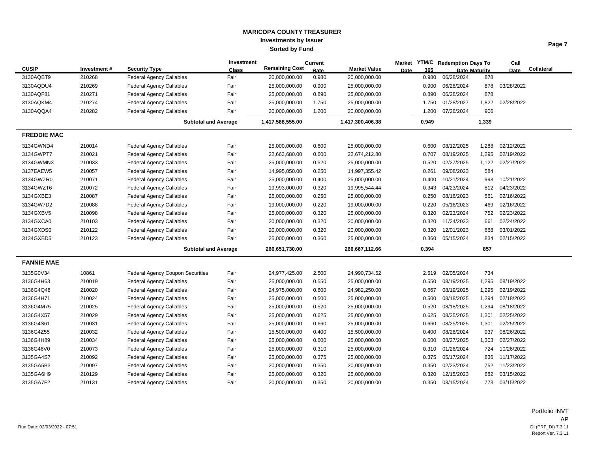|                    |             |                                         | Investment |                       | Current |                     | <b>Market</b> | <b>YTM/C</b> | <b>Redemption Days To</b> |                      | Call       |            |
|--------------------|-------------|-----------------------------------------|------------|-----------------------|---------|---------------------|---------------|--------------|---------------------------|----------------------|------------|------------|
| <b>CUSIP</b>       | Investment# | <b>Security Type</b>                    | Class      | <b>Remaining Cost</b> | Rate    | <b>Market Value</b> | <b>Date</b>   | 365          |                           | <b>Date Maturity</b> | Date       | Collateral |
| 3130AQBT9          | 210268      | <b>Federal Agency Callables</b>         | Fair       | 20,000,000.00         | 0.980   | 20,000,000.00       |               | 0.980        | 06/28/2024                | 878                  |            |            |
| 3130AQDU4          | 210269      | <b>Federal Agency Callables</b>         | Fair       | 25,000,000.00         | 0.900   | 25,000,000.00       |               | 0.900        | 06/28/2024                | 878                  | 03/28/2022 |            |
| 3130AQF81          | 210271      | <b>Federal Agency Callables</b>         | Fair       | 25,000,000.00         | 0.890   | 25,000,000.00       |               | 0.890        | 06/28/2024                | 878                  |            |            |
| 3130AQKM4          | 210274      | <b>Federal Agency Callables</b>         | Fair       | 25,000,000.00         | 1.750   | 25,000,000.00       |               | 1.750        | 01/28/2027                | 1,822                | 02/28/2022 |            |
| 3130AQQA4          | 210282      | <b>Federal Agency Callables</b>         | Fair       | 20,000,000.00         | 1.200   | 20,000,000.00       |               | 1.200        | 07/26/2024                | 906                  |            |            |
|                    |             | <b>Subtotal and Average</b>             |            | 1,417,568,555.00      |         | 1,417,300,406.38    |               | 0.949        |                           | 1,339                |            |            |
| <b>FREDDIE MAC</b> |             |                                         |            |                       |         |                     |               |              |                           |                      |            |            |
| 3134GWND4          | 210014      | <b>Federal Agency Callables</b>         | Fair       | 25,000,000.00         | 0.600   | 25,000,000.00       |               | 0.600        | 08/12/2025                | 1,288                | 02/12/2022 |            |
| 3134GWPT7          | 210021      | <b>Federal Agency Callables</b>         | Fair       | 22,663,680.00         | 0.600   | 22,674,212.80       |               | 0.707        | 08/19/2025                | 1,295                | 02/19/2022 |            |
| 3134GWMN3          | 210033      | <b>Federal Agency Callables</b>         | Fair       | 25,000,000.00         | 0.520   | 25,000,000.00       |               | 0.520        | 02/27/2025                | 1,122                | 02/27/2022 |            |
| 3137EAEW5          | 210057      | <b>Federal Agency Callables</b>         | Fair       | 14,995,050.00         | 0.250   | 14,997,355.42       |               | 0.261        | 09/08/2023                | 584                  |            |            |
| 3134GWZR0          | 210071      | <b>Federal Agency Callables</b>         | Fair       | 25,000,000.00         | 0.400   | 25,000,000.00       |               | 0.400        | 10/21/2024                | 993                  | 10/21/2022 |            |
| 3134GWZT6          | 210072      | <b>Federal Agency Callables</b>         | Fair       | 19,993,000.00         | 0.320   | 19,995,544.44       |               | 0.343        | 04/23/2024                | 812                  | 04/23/2022 |            |
| 3134GXBE3          | 210087      | <b>Federal Agency Callables</b>         | Fair       | 25,000,000.00         | 0.250   | 25,000,000.00       |               | 0.250        | 08/16/2023                | 561                  | 02/16/2022 |            |
| 3134GW7D2          | 210088      | <b>Federal Agency Callables</b>         | Fair       | 19,000,000.00         | 0.220   | 19,000,000.00       |               | 0.220        | 05/16/2023                | 469                  | 02/16/2022 |            |
| 3134GXBV5          | 210098      | <b>Federal Agency Callables</b>         | Fair       | 25,000,000.00         | 0.320   | 25,000,000.00       |               | 0.320        | 02/23/2024                | 752                  | 02/23/2022 |            |
| 3134GXCA0          | 210103      | <b>Federal Agency Callables</b>         | Fair       | 20,000,000.00         | 0.320   | 20,000,000.00       |               | 0.320        | 11/24/2023                | 661                  | 02/24/2022 |            |
| 3134GXDS0          | 210122      | <b>Federal Agency Callables</b>         | Fair       | 20,000,000.00         | 0.320   | 20,000,000.00       |               | 0.320        | 12/01/2023                | 668                  | 03/01/2022 |            |
| 3134GXBD5          | 210123      | <b>Federal Agency Callables</b>         | Fair       | 25,000,000.00         | 0.360   | 25,000,000.00       |               | 0.360        | 05/15/2024                | 834                  | 02/15/2022 |            |
|                    |             | <b>Subtotal and Average</b>             |            | 266,651,730.00        |         | 266,667,112.66      |               | 0.394        |                           | 857                  |            |            |
| <b>FANNIE MAE</b>  |             |                                         |            |                       |         |                     |               |              |                           |                      |            |            |
| 3135G0V34          | 10861       | <b>Federal Agency Coupon Securities</b> | Fair       | 24,977,425.00         | 2.500   | 24,990,734.52       |               | 2.519        | 02/05/2024                | 734                  |            |            |
| 3136G4H63          | 210019      | <b>Federal Agency Callables</b>         | Fair       | 25,000,000.00         | 0.550   | 25,000,000.00       |               | 0.550        | 08/19/2025                | 1,295                | 08/19/2022 |            |
| 3136G4Q48          | 210020      | <b>Federal Agency Callables</b>         | Fair       | 24,975,000.00         | 0.600   | 24,982,250.00       |               | 0.667        | 08/19/2025                | 1,295                | 02/19/2022 |            |
| 3136G4H71          | 210024      | <b>Federal Agency Callables</b>         | Fair       | 25,000,000.00         | 0.500   | 25,000,000.00       |               | 0.500        | 08/18/2025                | 1,294                | 02/18/2022 |            |
| 3136G4M75          | 210025      | <b>Federal Agency Callables</b>         | Fair       | 25,000,000.00         | 0.520   | 25,000,000.00       |               | 0.520        | 08/18/2025                | 1,294                | 08/18/2022 |            |
| 3136G4X57          | 210029      | <b>Federal Agency Callables</b>         | Fair       | 25,000,000.00         | 0.625   | 25,000,000.00       |               | 0.625        | 08/25/2025                | 1,301                | 02/25/2022 |            |
| 3136G4S61          | 210031      | Federal Agency Callables                | Fair       | 25,000,000.00         | 0.660   | 25,000,000.00       |               | 0.660        | 08/25/2025                | 1,301                | 02/25/2022 |            |
| 3136G4Z55          | 210032      | Federal Agency Callables                | Fair       | 15,500,000.00         | 0.400   | 15,500,000.00       |               | 0.400        | 08/26/2024                | 937                  | 08/26/2022 |            |
| 3136G4H89          | 210034      | <b>Federal Agency Callables</b>         | Fair       | 25,000,000.00         | 0.600   | 25,000,000.00       |               | 0.600        | 08/27/2025                | 1,303                | 02/27/2022 |            |
| 3136G46V0          | 210073      | <b>Federal Agency Callables</b>         | Fair       | 25,000,000.00         | 0.310   | 25,000,000.00       |               | 0.310        | 01/26/2024                | 724                  | 10/26/2022 |            |
| 3135GA4S7          | 210092      | Federal Agency Callables                | Fair       | 25,000,000.00         | 0.375   | 25,000,000.00       |               | 0.375        | 05/17/2024                | 836                  | 11/17/2022 |            |
| 3135GA5B3          | 210097      | Federal Agency Callables                | Fair       | 20,000,000.00         | 0.350   | 20,000,000.00       |               | 0.350        | 02/23/2024                | 752                  | 11/23/2022 |            |
| 3135GA6H9          | 210129      | <b>Federal Agency Callables</b>         | Fair       | 25,000,000.00         | 0.320   | 25,000,000.00       |               | 0.320        | 12/15/2023                | 682                  | 03/15/2022 |            |
| 3135GA7F2          | 210131      | <b>Federal Agency Callables</b>         | Fair       | 20,000,000.00         | 0.350   | 20,000,000.00       |               | 0.350        | 03/15/2024                | 773                  | 03/15/2022 |            |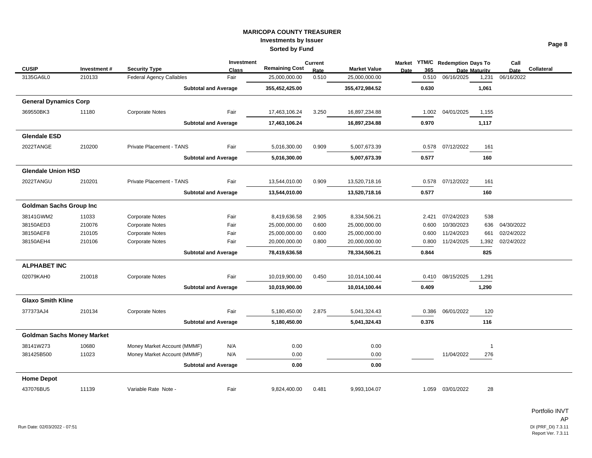|                                   |             |                                 | Investment   |                       | <b>Current</b> |                     |      |       | Market YTM/C Redemption Days To |                      | Call       |            |
|-----------------------------------|-------------|---------------------------------|--------------|-----------------------|----------------|---------------------|------|-------|---------------------------------|----------------------|------------|------------|
| <b>CUSIP</b>                      | Investment# | <b>Security Type</b>            | <b>Class</b> | <b>Remaining Cost</b> | Rate           | <b>Market Value</b> | Date | 365   |                                 | <b>Date Maturity</b> | Date       | Collateral |
| 3135GA6L0                         | 210133      | <b>Federal Agency Callables</b> | Fair         | 25,000,000.00         | 0.510          | 25,000,000.00       |      | 0.510 | 06/16/2025                      | 1,231                | 06/16/2022 |            |
|                                   |             | <b>Subtotal and Average</b>     |              | 355,452,425.00        |                | 355,472,984.52      |      | 0.630 |                                 | 1,061                |            |            |
| <b>General Dynamics Corp</b>      |             |                                 |              |                       |                |                     |      |       |                                 |                      |            |            |
| 369550BK3                         | 11180       | <b>Corporate Notes</b>          | Fair         | 17,463,106.24         | 3.250          | 16,897,234.88       |      | 1.002 | 04/01/2025                      | 1,155                |            |            |
|                                   |             | <b>Subtotal and Average</b>     |              | 17,463,106.24         |                | 16,897,234.88       |      | 0.970 |                                 | 1,117                |            |            |
| <b>Glendale ESD</b>               |             |                                 |              |                       |                |                     |      |       |                                 |                      |            |            |
| 2022TANGE                         | 210200      | Private Placement - TANS        | Fair         | 5,016,300.00          | 0.909          | 5,007,673.39        |      | 0.578 | 07/12/2022                      | 161                  |            |            |
|                                   |             | <b>Subtotal and Average</b>     |              | 5,016,300.00          |                | 5,007,673.39        |      | 0.577 |                                 | 160                  |            |            |
| <b>Glendale Union HSD</b>         |             |                                 |              |                       |                |                     |      |       |                                 |                      |            |            |
| 2022TANGU                         | 210201      | Private Placement - TANS        | Fair         | 13,544,010.00         | 0.909          | 13,520,718.16       |      | 0.578 | 07/12/2022                      | 161                  |            |            |
|                                   |             | <b>Subtotal and Average</b>     |              | 13,544,010.00         |                | 13,520,718.16       |      | 0.577 |                                 | 160                  |            |            |
| <b>Goldman Sachs Group Inc</b>    |             |                                 |              |                       |                |                     |      |       |                                 |                      |            |            |
| 38141GWM2                         | 11033       | <b>Corporate Notes</b>          | Fair         | 8,419,636.58          | 2.905          | 8,334,506.21        |      | 2.421 | 07/24/2023                      | 538                  |            |            |
| 38150AED3                         | 210076      | <b>Corporate Notes</b>          | Fair         | 25,000,000.00         | 0.600          | 25,000,000.00       |      | 0.600 | 10/30/2023                      | 636                  | 04/30/2022 |            |
| 38150AEF8                         | 210105      | <b>Corporate Notes</b>          | Fair         | 25,000,000.00         | 0.600          | 25,000,000.00       |      | 0.600 | 11/24/2023                      | 661                  | 02/24/2022 |            |
| 38150AEH4                         | 210106      | <b>Corporate Notes</b>          | Fair         | 20,000,000.00         | 0.800          | 20,000,000.00       |      | 0.800 | 11/24/2025                      | 1,392                | 02/24/2022 |            |
|                                   |             | <b>Subtotal and Average</b>     |              | 78,419,636.58         |                | 78,334,506.21       |      | 0.844 |                                 | 825                  |            |            |
| <b>ALPHABET INC</b>               |             |                                 |              |                       |                |                     |      |       |                                 |                      |            |            |
| 02079KAH0                         | 210018      | <b>Corporate Notes</b>          | Fair         | 10,019,900.00         | 0.450          | 10,014,100.44       |      | 0.410 | 08/15/2025                      | 1,291                |            |            |
|                                   |             | <b>Subtotal and Average</b>     |              | 10,019,900.00         |                | 10,014,100.44       |      | 0.409 |                                 | 1,290                |            |            |
| <b>Glaxo Smith Kline</b>          |             |                                 |              |                       |                |                     |      |       |                                 |                      |            |            |
| 377373AJ4                         | 210134      | <b>Corporate Notes</b>          | Fair         | 5,180,450.00          | 2.875          | 5,041,324.43        |      | 0.386 | 06/01/2022                      | 120                  |            |            |
|                                   |             | <b>Subtotal and Average</b>     |              | 5,180,450.00          |                | 5,041,324.43        |      | 0.376 |                                 | 116                  |            |            |
| <b>Goldman Sachs Money Market</b> |             |                                 |              |                       |                |                     |      |       |                                 |                      |            |            |
| 38141W273                         | 10680       | Money Market Account (MMMF)     | N/A          | 0.00                  |                | 0.00                |      |       |                                 | -1                   |            |            |
| 381425B500                        | 11023       | Money Market Account (MMMF)     | N/A          | 0.00                  |                | 0.00                |      |       | 11/04/2022                      | 276                  |            |            |
|                                   |             | <b>Subtotal and Average</b>     |              | 0.00                  |                | 0.00                |      |       |                                 |                      |            |            |
| <b>Home Depot</b>                 |             |                                 |              |                       |                |                     |      |       |                                 |                      |            |            |
| 437076BU5                         | 11139       | Variable Rate Note -            | Fair         | 9,824,400.00          | 0.481          | 9,993,104.07        |      | 1.059 | 03/01/2022                      | 28                   |            |            |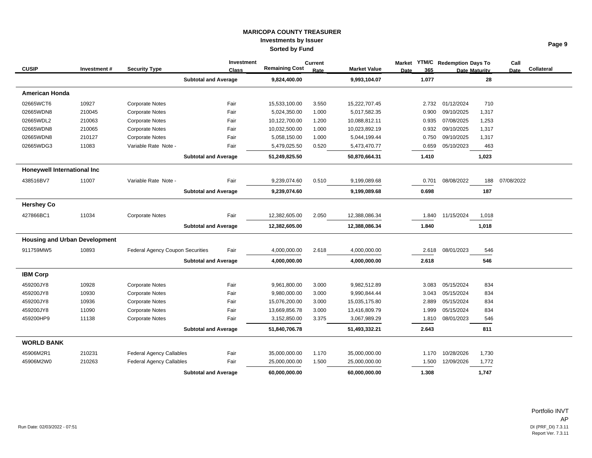|                                      |             |                                         | Investment                  |                       | Current |                     | Market YTM/C Redemption Days To |            |               | Call        |            |
|--------------------------------------|-------------|-----------------------------------------|-----------------------------|-----------------------|---------|---------------------|---------------------------------|------------|---------------|-------------|------------|
| <b>CUSIP</b>                         | Investment# | <b>Security Type</b>                    | <b>Class</b>                | <b>Remaining Cost</b> | Rate    | <b>Market Value</b> | 365<br><b>Date</b>              |            | Date Maturity | <b>Date</b> | Collateral |
|                                      |             |                                         | <b>Subtotal and Average</b> | 9,824,400.00          |         | 9,993,104.07        | 1.077                           |            | 28            |             |            |
| <b>American Honda</b>                |             |                                         |                             |                       |         |                     |                                 |            |               |             |            |
| 02665WCT6                            | 10927       | <b>Corporate Notes</b>                  | Fair                        | 15,533,100.00         | 3.550   | 15,222,707.45       | 2.732                           | 01/12/2024 | 710           |             |            |
| 02665WDN8                            | 210045      | Corporate Notes                         | Fair                        | 5,024,350.00          | 1.000   | 5,017,582.35        | 0.900                           | 09/10/2025 | 1,317         |             |            |
| 02665WDL2                            | 210063      | <b>Corporate Notes</b>                  | Fair                        | 10,122,700.00         | 1.200   | 10,088,812.11       | 0.935                           | 07/08/2025 | 1,253         |             |            |
| 02665WDN8                            | 210065      | <b>Corporate Notes</b>                  | Fair                        | 10,032,500.00         | 1.000   | 10,023,892.19       | 0.932                           | 09/10/2025 | 1,317         |             |            |
| 02665WDN8                            | 210127      | <b>Corporate Notes</b>                  | Fair                        | 5,058,150.00          | 1.000   | 5,044,199.44        | 0.750                           | 09/10/2025 | 1,317         |             |            |
| 02665WDG3                            | 11083       | Variable Rate Note -                    | Fair                        | 5,479,025.50          | 0.520   | 5,473,470.77        | 0.659                           | 05/10/2023 | 463           |             |            |
|                                      |             |                                         | <b>Subtotal and Average</b> | 51,249,825.50         |         | 50,870,664.31       | 1.410                           |            | 1,023         |             |            |
| Honeywell International Inc          |             |                                         |                             |                       |         |                     |                                 |            |               |             |            |
| 438516BV7                            | 11007       | Variable Rate Note -                    | Fair                        | 9,239,074.60          | 0.510   | 9,199,089.68        | 0.701                           | 08/08/2022 | 188           | 07/08/2022  |            |
|                                      |             |                                         | <b>Subtotal and Average</b> | 9,239,074.60          |         | 9,199,089.68        | 0.698                           |            | 187           |             |            |
| <b>Hershey Co</b>                    |             |                                         |                             |                       |         |                     |                                 |            |               |             |            |
| 427866BC1                            | 11034       | Corporate Notes                         | Fair                        | 12,382,605.00         | 2.050   | 12,388,086.34       | 1.840                           | 11/15/2024 | 1,018         |             |            |
|                                      |             |                                         | <b>Subtotal and Average</b> | 12,382,605.00         |         | 12,388,086.34       | 1.840                           |            | 1,018         |             |            |
| <b>Housing and Urban Development</b> |             |                                         |                             |                       |         |                     |                                 |            |               |             |            |
| 911759MW5                            | 10893       | <b>Federal Agency Coupon Securities</b> | Fair                        | 4,000,000.00          | 2.618   | 4,000,000.00        | 2.618                           | 08/01/2023 | 546           |             |            |
|                                      |             |                                         | <b>Subtotal and Average</b> | 4,000,000.00          |         | 4,000,000.00        | 2.618                           |            | 546           |             |            |
| <b>IBM Corp</b>                      |             |                                         |                             |                       |         |                     |                                 |            |               |             |            |
| 459200JY8                            | 10928       | Corporate Notes                         | Fair                        | 9,961,800.00          | 3.000   | 9,982,512.89        | 3.083                           | 05/15/2024 | 834           |             |            |
| 459200JY8                            | 10930       | <b>Corporate Notes</b>                  | Fair                        | 9,980,000.00          | 3.000   | 9,990,844.44        | 3.043                           | 05/15/2024 | 834           |             |            |
| 459200JY8                            | 10936       | <b>Corporate Notes</b>                  | Fair                        | 15,076,200.00         | 3.000   | 15,035,175.80       | 2.889                           | 05/15/2024 | 834           |             |            |
| 459200JY8                            | 11090       | Corporate Notes                         | Fair                        | 13,669,856.78         | 3.000   | 13,416,809.79       | 1.999                           | 05/15/2024 | 834           |             |            |
| 459200HP9                            | 11138       | <b>Corporate Notes</b>                  | Fair                        | 3,152,850.00          | 3.375   | 3,067,989.29        | 1.810                           | 08/01/2023 | 546           |             |            |
|                                      |             |                                         | <b>Subtotal and Average</b> | 51,840,706.78         |         | 51,493,332.21       | 2.643                           |            | 811           |             |            |
| <b>WORLD BANK</b>                    |             |                                         |                             |                       |         |                     |                                 |            |               |             |            |
| 45906M2R1                            | 210231      | <b>Federal Agency Callables</b>         | Fair                        | 35,000,000.00         | 1.170   | 35,000,000.00       | 1.170                           | 10/28/2026 | 1,730         |             |            |
| 45906M2W0                            | 210263      | <b>Federal Agency Callables</b>         | Fair                        | 25,000,000.00         | 1.500   | 25,000,000.00       | 1.500                           | 12/09/2026 | 1,772         |             |            |
|                                      |             |                                         | <b>Subtotal and Average</b> | 60,000,000.00         |         | 60,000,000.00       | 1.308                           |            | 1,747         |             |            |

Portfolio INVT AP DI (PRF\_DI) 7.3.11<br>Report Ver. 7.3.11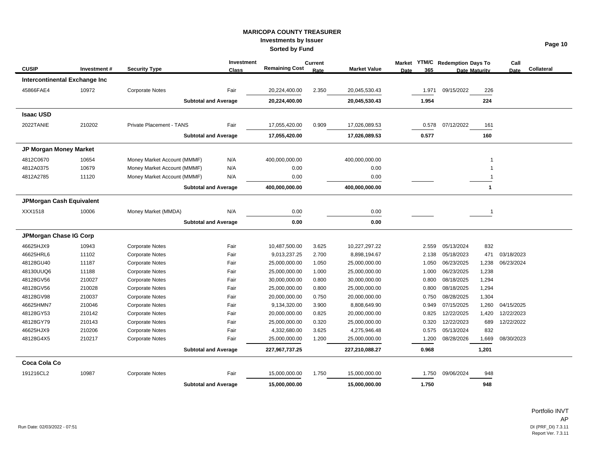|                               |             |                                 | Investment   |                       | Current |                     | <b>Market</b> |       | <b>YTM/C</b> Redemption Days To |                      | Call       |            |
|-------------------------------|-------------|---------------------------------|--------------|-----------------------|---------|---------------------|---------------|-------|---------------------------------|----------------------|------------|------------|
| <b>CUSIP</b>                  | Investment# | <b>Security Type</b>            | <b>Class</b> | <b>Remaining Cost</b> | Rate    | <b>Market Value</b> | Date          | 365   |                                 | <b>Date Maturity</b> | Date       | Collateral |
| Intercontinental Exchange Inc |             |                                 |              |                       |         |                     |               |       |                                 |                      |            |            |
| 45866FAE4                     | 10972       | <b>Corporate Notes</b>          | Fair         | 20,224,400.00         | 2.350   | 20,045,530.43       |               | 1.971 | 09/15/2022                      | 226                  |            |            |
|                               |             | <b>Subtotal and Average</b>     |              | 20,224,400.00         |         | 20,045,530.43       |               | 1.954 |                                 | 224                  |            |            |
| <b>Isaac USD</b>              |             |                                 |              |                       |         |                     |               |       |                                 |                      |            |            |
| 2022TANIE                     | 210202      | <b>Private Placement - TANS</b> | Fair         | 17,055,420.00         | 0.909   | 17,026,089.53       |               | 0.578 | 07/12/2022                      | 161                  |            |            |
|                               |             | <b>Subtotal and Average</b>     |              | 17,055,420.00         |         | 17,026,089.53       |               | 0.577 |                                 | 160                  |            |            |
| <b>JP Morgan Money Market</b> |             |                                 |              |                       |         |                     |               |       |                                 |                      |            |            |
| 4812C0670                     | 10654       | Money Market Account (MMMF)     | N/A          | 400,000,000.00        |         | 400,000,000.00      |               |       |                                 | -1                   |            |            |
| 4812A0375                     | 10679       | Money Market Account (MMMF)     | N/A          | 0.00                  |         | 0.00                |               |       |                                 |                      |            |            |
| 4812A2785                     | 11120       | Money Market Account (MMMF)     | N/A          | 0.00                  |         | 0.00                |               |       |                                 |                      |            |            |
|                               |             | <b>Subtotal and Average</b>     |              | 400,000,000.00        |         | 400,000,000.00      |               |       |                                 | $\mathbf{1}$         |            |            |
| JPMorgan Cash Equivalent      |             |                                 |              |                       |         |                     |               |       |                                 |                      |            |            |
| XXX1518                       | 10006       | Money Market (MMDA)             | N/A          | 0.00                  |         | 0.00                |               |       |                                 | - 1                  |            |            |
|                               |             | <b>Subtotal and Average</b>     |              | 0.00                  |         | 0.00                |               |       |                                 |                      |            |            |
| JPMorgan Chase IG Corp        |             |                                 |              |                       |         |                     |               |       |                                 |                      |            |            |
| 46625HJX9                     | 10943       | <b>Corporate Notes</b>          | Fair         | 10,487,500.00         | 3.625   | 10,227,297.22       |               | 2.559 | 05/13/2024                      | 832                  |            |            |
| 46625HRL6                     | 11102       | <b>Corporate Notes</b>          | Fair         | 9,013,237.25          | 2.700   | 8,898,194.67        |               | 2.138 | 05/18/2023                      | 471                  | 03/18/2023 |            |
| 48128GU40                     | 11187       | <b>Corporate Notes</b>          | Fair         | 25,000,000.00         | 1.050   | 25,000,000.00       |               | 1.050 | 06/23/2025                      | 1,238                | 06/23/2024 |            |
| 48130UUQ6                     | 11188       | <b>Corporate Notes</b>          | Fair         | 25,000,000.00         | 1.000   | 25,000,000.00       |               | 1.000 | 06/23/2025                      | 1,238                |            |            |
| 48128GV56                     | 210027      | <b>Corporate Notes</b>          | Fair         | 30,000,000.00         | 0.800   | 30,000,000.00       |               | 0.800 | 08/18/2025                      | 1,294                |            |            |
| 48128GV56                     | 210028      | <b>Corporate Notes</b>          | Fair         | 25,000,000.00         | 0.800   | 25,000,000.00       |               | 0.800 | 08/18/2025                      | 1,294                |            |            |
| 48128GV98                     | 210037      | <b>Corporate Notes</b>          | Fair         | 20,000,000.00         | 0.750   | 20,000,000.00       |               | 0.750 | 08/28/2025                      | 1,304                |            |            |
| 46625HMN7                     | 210046      | <b>Corporate Notes</b>          | Fair         | 9,134,320.00          | 3.900   | 8,808,649.90        |               | 0.949 | 07/15/2025                      | 1,260                | 04/15/2025 |            |
| 48128GY53                     | 210142      | <b>Corporate Notes</b>          | Fair         | 20,000,000.00         | 0.825   | 20,000,000.00       |               | 0.825 | 12/22/2025                      | 1,420                | 12/22/2023 |            |
| 48128GY79                     | 210143      | <b>Corporate Notes</b>          | Fair         | 25,000,000.00         | 0.320   | 25,000,000.00       |               | 0.320 | 12/22/2023                      | 689                  | 12/22/2022 |            |
| 46625HJX9                     | 210206      | <b>Corporate Notes</b>          | Fair         | 4,332,680.00          | 3.625   | 4,275,946.48        |               | 0.575 | 05/13/2024                      | 832                  |            |            |
| 48128G4X5                     | 210217      | <b>Corporate Notes</b>          | Fair         | 25,000,000.00         | 1.200   | 25,000,000.00       |               | 1.200 | 08/28/2026                      | 1,669                | 08/30/2023 |            |
|                               |             | <b>Subtotal and Average</b>     |              | 227,967,737.25        |         | 227,210,088.27      |               | 0.968 |                                 | 1,201                |            |            |
| Coca Cola Co                  |             |                                 |              |                       |         |                     |               |       |                                 |                      |            |            |
| 191216CL2                     | 10987       | <b>Corporate Notes</b>          | Fair         | 15,000,000.00         | 1.750   | 15,000,000.00       |               | 1.750 | 09/06/2024                      | 948                  |            |            |
|                               |             | <b>Subtotal and Average</b>     |              | 15,000,000.00         |         | 15,000,000.00       |               | 1.750 |                                 | 948                  |            |            |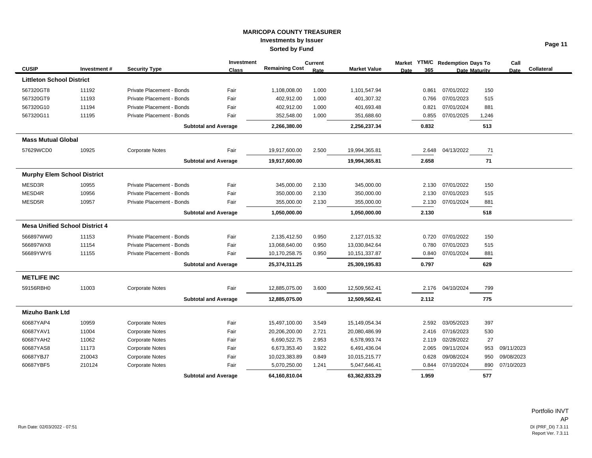|                                    |                                       |                           | Investment                  |                       | <b>Current</b> |                     |      |       | Market YTM/C Redemption Days To |                      | Call       |            |
|------------------------------------|---------------------------------------|---------------------------|-----------------------------|-----------------------|----------------|---------------------|------|-------|---------------------------------|----------------------|------------|------------|
| <b>CUSIP</b>                       | Investment#                           | <b>Security Type</b>      | <b>Class</b>                | <b>Remaining Cost</b> | Rate           | <b>Market Value</b> | Date | 365   |                                 | <b>Date Maturity</b> | Date       | Collateral |
| <b>Littleton School District</b>   |                                       |                           |                             |                       |                |                     |      |       |                                 |                      |            |            |
| 567320GT8                          | 11192                                 | Private Placement - Bonds | Fair                        | 1,108,008.00          | 1.000          | 1,101,547.94        |      | 0.861 | 07/01/2022                      | 150                  |            |            |
| 567320GT9                          | 11193                                 | Private Placement - Bonds | Fair                        | 402,912.00            | 1.000          | 401,307.32          |      | 0.766 | 07/01/2023                      | 515                  |            |            |
| 567320G10                          | 11194                                 | Private Placement - Bonds | Fair                        | 402,912.00            | 1.000          | 401,693.48          |      | 0.821 | 07/01/2024                      | 881                  |            |            |
| 567320G11                          | 11195                                 | Private Placement - Bonds | Fair                        | 352,548.00            | 1.000          | 351,688.60          |      | 0.855 | 07/01/2025                      | 1,246                |            |            |
|                                    |                                       |                           | <b>Subtotal and Average</b> | 2,266,380.00          |                | 2,256,237.34        |      | 0.832 |                                 | 513                  |            |            |
| <b>Mass Mutual Global</b>          |                                       |                           |                             |                       |                |                     |      |       |                                 |                      |            |            |
| 57629WCD0                          | 10925                                 | <b>Corporate Notes</b>    | Fair                        | 19,917,600.00         | 2.500          | 19,994,365.81       |      | 2.648 | 04/13/2022                      | 71                   |            |            |
|                                    |                                       |                           | <b>Subtotal and Average</b> | 19,917,600.00         |                | 19,994,365.81       |      | 2.658 |                                 | 71                   |            |            |
| <b>Murphy Elem School District</b> |                                       |                           |                             |                       |                |                     |      |       |                                 |                      |            |            |
| MESD3R                             | 10955                                 | Private Placement - Bonds | Fair                        | 345,000.00            | 2.130          | 345,000.00          |      | 2.130 | 07/01/2022                      | 150                  |            |            |
| MESD4R                             | 10956                                 | Private Placement - Bonds | Fair                        | 350,000.00            | 2.130          | 350,000.00          |      | 2.130 | 07/01/2023                      | 515                  |            |            |
| MESD5R                             | 10957                                 | Private Placement - Bonds | Fair                        | 355,000.00            | 2.130          | 355,000.00          |      | 2.130 | 07/01/2024                      | 881                  |            |            |
|                                    |                                       |                           | <b>Subtotal and Average</b> | 1,050,000.00          |                | 1,050,000.00        |      | 2.130 |                                 | 518                  |            |            |
|                                    | <b>Mesa Unified School District 4</b> |                           |                             |                       |                |                     |      |       |                                 |                      |            |            |
| 566897WW0                          | 11153                                 | Private Placement - Bonds | Fair                        | 2,135,412.50          | 0.950          | 2,127,015.32        |      | 0.720 | 07/01/2022                      | 150                  |            |            |
| 566897WX8                          | 11154                                 | Private Placement - Bonds | Fair                        | 13,068,640.00         | 0.950          | 13,030,842.64       |      | 0.780 | 07/01/2023                      | 515                  |            |            |
| 56689YWY6                          | 11155                                 | Private Placement - Bonds | Fair                        | 10,170,258.75         | 0.950          | 10,151,337.87       |      | 0.840 | 07/01/2024                      | 881                  |            |            |
|                                    |                                       |                           | <b>Subtotal and Average</b> | 25,374,311.25         |                | 25,309,195.83       |      | 0.797 |                                 | 629                  |            |            |
| <b>METLIFE INC</b>                 |                                       |                           |                             |                       |                |                     |      |       |                                 |                      |            |            |
| 59156RBH0                          | 11003                                 | <b>Corporate Notes</b>    | Fair                        | 12,885,075.00         | 3.600          | 12,509,562.41       |      | 2.176 | 04/10/2024                      | 799                  |            |            |
|                                    |                                       |                           | <b>Subtotal and Average</b> | 12,885,075.00         |                | 12,509,562.41       |      | 2.112 |                                 | 775                  |            |            |
| <b>Mizuho Bank Ltd</b>             |                                       |                           |                             |                       |                |                     |      |       |                                 |                      |            |            |
| 60687YAP4                          | 10959                                 | <b>Corporate Notes</b>    | Fair                        | 15,497,100.00         | 3.549          | 15,149,054.34       |      | 2.592 | 03/05/2023                      | 397                  |            |            |
| 60687YAV1                          | 11004                                 | <b>Corporate Notes</b>    | Fair                        | 20,206,200.00         | 2.721          | 20,080,486.99       |      | 2.416 | 07/16/2023                      | 530                  |            |            |
| 60687YAH2                          | 11062                                 | <b>Corporate Notes</b>    | Fair                        | 6,690,522.75          | 2.953          | 6,578,993.74        |      | 2.119 | 02/28/2022                      | 27                   |            |            |
| 60687YAS8                          | 11173                                 | <b>Corporate Notes</b>    | Fair                        | 6,673,353.40          | 3.922          | 6,491,436.04        |      | 2.065 | 09/11/2024                      | 953                  | 09/11/2023 |            |
| 60687YBJ7                          | 210043                                | <b>Corporate Notes</b>    | Fair                        | 10,023,383.89         | 0.849          | 10,015,215.77       |      | 0.628 | 09/08/2024                      | 950                  | 09/08/2023 |            |
| 60687YBF5                          | 210124                                | <b>Corporate Notes</b>    | Fair                        | 5,070,250.00          | 1.241          | 5,047,646.41        |      | 0.844 | 07/10/2024                      | 890                  | 07/10/2023 |            |
|                                    |                                       |                           | <b>Subtotal and Average</b> | 64,160,810.04         |                | 63,362,833.29       |      | 1.959 |                                 | 577                  |            |            |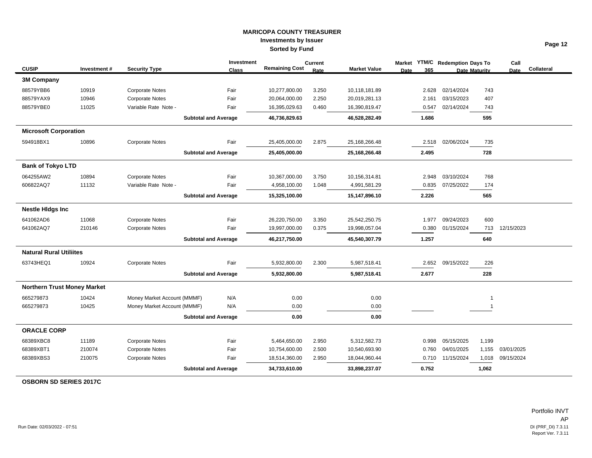|                                    |             |                             | Investment   |                       | <b>Current</b> |                     |      |       | Market YTM/C Redemption Days To |                      | Call        |            |
|------------------------------------|-------------|-----------------------------|--------------|-----------------------|----------------|---------------------|------|-------|---------------------------------|----------------------|-------------|------------|
| <b>CUSIP</b>                       | Investment# | <b>Security Type</b>        | <b>Class</b> | <b>Remaining Cost</b> | Rate           | <b>Market Value</b> | Date | 365   |                                 | <b>Date Maturity</b> | <b>Date</b> | Collateral |
| <b>3M Company</b>                  |             |                             |              |                       |                |                     |      |       |                                 |                      |             |            |
| 88579YBB6                          | 10919       | <b>Corporate Notes</b>      | Fair         | 10,277,800.00         | 3.250          | 10,118,181.89       |      | 2.628 | 02/14/2024                      | 743                  |             |            |
| 88579YAX9                          | 10946       | <b>Corporate Notes</b>      | Fair         | 20,064,000.00         | 2.250          | 20,019,281.13       |      | 2.161 | 03/15/2023                      | 407                  |             |            |
| 88579YBE0                          | 11025       | Variable Rate Note -        | Fair         | 16,395,029.63         | 0.460          | 16,390,819.47       |      | 0.547 | 02/14/2024                      | 743                  |             |            |
|                                    |             | <b>Subtotal and Average</b> |              | 46,736,829.63         |                | 46,528,282.49       |      | 1.686 |                                 | 595                  |             |            |
| <b>Microsoft Corporation</b>       |             |                             |              |                       |                |                     |      |       |                                 |                      |             |            |
| 594918BX1                          | 10896       | <b>Corporate Notes</b>      | Fair         | 25,405,000.00         | 2.875          | 25,168,266.48       |      | 2.518 | 02/06/2024                      | 735                  |             |            |
|                                    |             | <b>Subtotal and Average</b> |              | 25,405,000.00         |                | 25,168,266.48       |      | 2.495 |                                 | 728                  |             |            |
| <b>Bank of Tokyo LTD</b>           |             |                             |              |                       |                |                     |      |       |                                 |                      |             |            |
| 064255AW2                          | 10894       | <b>Corporate Notes</b>      | Fair         | 10,367,000.00         | 3.750          | 10,156,314.81       |      | 2.948 | 03/10/2024                      | 768                  |             |            |
| 606822AQ7                          | 11132       | Variable Rate Note -        | Fair         | 4,958,100.00          | 1.048          | 4,991,581.29        |      | 0.835 | 07/25/2022                      | 174                  |             |            |
|                                    |             | <b>Subtotal and Average</b> |              | 15,325,100.00         |                | 15,147,896.10       |      | 2.226 |                                 | 565                  |             |            |
| <b>Nestle Hidgs Inc</b>            |             |                             |              |                       |                |                     |      |       |                                 |                      |             |            |
| 641062AD6                          | 11068       | <b>Corporate Notes</b>      | Fair         | 26,220,750.00         | 3.350          | 25,542,250.75       |      | 1.977 | 09/24/2023                      | 600                  |             |            |
| 641062AQ7                          | 210146      | <b>Corporate Notes</b>      | Fair         | 19,997,000.00         | 0.375          | 19,998,057.04       |      | 0.380 | 01/15/2024                      | 713                  | 12/15/2023  |            |
|                                    |             | <b>Subtotal and Average</b> |              | 46,217,750.00         |                | 45,540,307.79       |      | 1.257 |                                 | 640                  |             |            |
| <b>Natural Rural Utiliites</b>     |             |                             |              |                       |                |                     |      |       |                                 |                      |             |            |
| 63743HEQ1                          | 10924       | <b>Corporate Notes</b>      | Fair         | 5,932,800.00          | 2.300          | 5,987,518.41        |      | 2.652 | 09/15/2022                      | 226                  |             |            |
|                                    |             | <b>Subtotal and Average</b> |              | 5,932,800.00          |                | 5,987,518.41        |      | 2.677 |                                 | 228                  |             |            |
| <b>Northern Trust Money Market</b> |             |                             |              |                       |                |                     |      |       |                                 |                      |             |            |
| 665279873                          | 10424       | Money Market Account (MMMF) | N/A          | 0.00                  |                | 0.00                |      |       |                                 | 1                    |             |            |
| 665279873                          | 10425       | Money Market Account (MMMF) | N/A          | 0.00                  |                | 0.00                |      |       |                                 | -1                   |             |            |
|                                    |             | <b>Subtotal and Average</b> |              | 0.00                  |                | 0.00                |      |       |                                 |                      |             |            |
| <b>ORACLE CORP</b>                 |             |                             |              |                       |                |                     |      |       |                                 |                      |             |            |
| 68389XBC8                          | 11189       | <b>Corporate Notes</b>      | Fair         | 5,464,650.00          | 2.950          | 5,312,582.73        |      | 0.998 | 05/15/2025                      | 1,199                |             |            |
| 68389XBT1                          | 210074      | <b>Corporate Notes</b>      | Fair         | 10,754,600.00         | 2.500          | 10,540,693.90       |      | 0.760 | 04/01/2025                      | 1,155                | 03/01/2025  |            |
| 68389XBS3                          | 210075      | <b>Corporate Notes</b>      | Fair         | 18,514,360.00         | 2.950          | 18,044,960.44       |      | 0.710 | 11/15/2024                      | 1,018                | 09/15/2024  |            |
|                                    |             | <b>Subtotal and Average</b> |              | 34,733,610.00         |                | 33,898,237.07       |      | 0.752 |                                 | 1,062                |             |            |

**OSBORN SD SERIES 2017C**

Portfolio INVT AP DI (PRF\_DI) 7.3.11<br>Report Ver. 7.3.11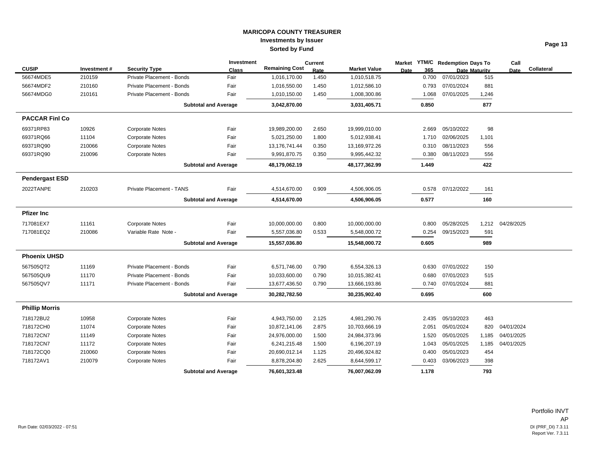|                       |             |                           | Investment                  |                       | <b>Current</b> |                     |             |       | Market YTM/C Redemption Days To |                      | Call       |            |
|-----------------------|-------------|---------------------------|-----------------------------|-----------------------|----------------|---------------------|-------------|-------|---------------------------------|----------------------|------------|------------|
| <b>CUSIP</b>          | Investment# | <b>Security Type</b>      | <b>Class</b>                | <b>Remaining Cost</b> | Rate           | <b>Market Value</b> | <b>Date</b> | 365   |                                 | <b>Date Maturity</b> | Date       | Collateral |
| 56674MDE5             | 210159      | Private Placement - Bonds | Fair                        | 1,016,170.00          | 1.450          | 1,010,518.75        |             | 0.700 | 07/01/2023                      | 515                  |            |            |
| 56674MDF2             | 210160      | Private Placement - Bonds | Fair                        | 1,016,550.00          | 1.450          | 1,012,586.10        |             | 0.793 | 07/01/2024                      | 881                  |            |            |
| 56674MDG0             | 210161      | Private Placement - Bonds | Fair                        | 1,010,150.00          | 1.450          | 1,008,300.86        |             | 1.068 | 07/01/2025                      | 1,246                |            |            |
|                       |             |                           | <b>Subtotal and Average</b> | 3,042,870.00          |                | 3,031,405.71        |             | 0.850 |                                 | 877                  |            |            |
| <b>PACCAR Finl Co</b> |             |                           |                             |                       |                |                     |             |       |                                 |                      |            |            |
| 69371RP83             | 10926       | <b>Corporate Notes</b>    | Fair                        | 19,989,200.00         | 2.650          | 19,999,010.00       |             | 2.669 | 05/10/2022                      | 98                   |            |            |
| 69371RQ66             | 11104       | <b>Corporate Notes</b>    | Fair                        | 5,021,250.00          | 1.800          | 5,012,938.41        |             | 1.710 | 02/06/2025                      | 1,101                |            |            |
| 69371RQ90             | 210066      | <b>Corporate Notes</b>    | Fair                        | 13,176,741.44         | 0.350          | 13,169,972.26       |             | 0.310 | 08/11/2023                      | 556                  |            |            |
| 69371RQ90             | 210096      | <b>Corporate Notes</b>    | Fair                        | 9,991,870.75          | 0.350          | 9,995,442.32        |             | 0.380 | 08/11/2023                      | 556                  |            |            |
|                       |             |                           | <b>Subtotal and Average</b> | 48,179,062.19         |                | 48,177,362.99       |             | 1.449 |                                 | 422                  |            |            |
| <b>Pendergast ESD</b> |             |                           |                             |                       |                |                     |             |       |                                 |                      |            |            |
| 2022TANPE             | 210203      | Private Placement - TANS  | Fair                        | 4,514,670.00          | 0.909          | 4,506,906.05        |             | 0.578 | 07/12/2022                      | 161                  |            |            |
|                       |             |                           | <b>Subtotal and Average</b> | 4,514,670.00          |                | 4,506,906.05        |             | 0.577 |                                 | 160                  |            |            |
| <b>Pfizer Inc</b>     |             |                           |                             |                       |                |                     |             |       |                                 |                      |            |            |
| 717081EX7             | 11161       | <b>Corporate Notes</b>    | Fair                        | 10,000,000.00         | 0.800          | 10,000,000.00       |             | 0.800 | 05/28/2025                      | 1,212                | 04/28/2025 |            |
| 717081EQ2             | 210086      | Variable Rate Note -      | Fair                        | 5,557,036.80          | 0.533          | 5,548,000.72        |             | 0.254 | 09/15/2023                      | 591                  |            |            |
|                       |             |                           | <b>Subtotal and Average</b> | 15,557,036.80         |                | 15,548,000.72       |             | 0.605 |                                 | 989                  |            |            |
| <b>Phoenix UHSD</b>   |             |                           |                             |                       |                |                     |             |       |                                 |                      |            |            |
| 567505QT2             | 11169       | Private Placement - Bonds | Fair                        | 6,571,746.00          | 0.790          | 6,554,326.13        |             | 0.630 | 07/01/2022                      | 150                  |            |            |
| 567505QU9             | 11170       | Private Placement - Bonds | Fair                        | 10,033,600.00         | 0.790          | 10,015,382.41       |             | 0.680 | 07/01/2023                      | 515                  |            |            |
| 567505QV7             | 11171       | Private Placement - Bonds | Fair                        | 13,677,436.50         | 0.790          | 13,666,193.86       |             | 0.740 | 07/01/2024                      | 881                  |            |            |
|                       |             |                           | <b>Subtotal and Average</b> | 30,282,782.50         |                | 30,235,902.40       |             | 0.695 |                                 | 600                  |            |            |
| <b>Phillip Morris</b> |             |                           |                             |                       |                |                     |             |       |                                 |                      |            |            |
| 718172BU2             | 10958       | <b>Corporate Notes</b>    | Fair                        | 4,943,750.00          | 2.125          | 4,981,290.76        |             | 2.435 | 05/10/2023                      | 463                  |            |            |
| 718172CH0             | 11074       | <b>Corporate Notes</b>    | Fair                        | 10,872,141.06         | 2.875          | 10,703,666.19       |             | 2.051 | 05/01/2024                      | 820                  | 04/01/2024 |            |
| 718172CN7             | 11149       | <b>Corporate Notes</b>    | Fair                        | 24,976,000.00         | 1.500          | 24,984,373.96       |             | 1.520 | 05/01/2025                      | 1,185                | 04/01/2025 |            |
| 718172CN7             | 11172       | <b>Corporate Notes</b>    | Fair                        | 6,241,215.48          | 1.500          | 6,196,207.19        |             | 1.043 | 05/01/2025                      | 1,185                | 04/01/2025 |            |
| 718172CQ0             | 210060      | <b>Corporate Notes</b>    | Fair                        | 20,690,012.14         | 1.125          | 20,496,924.82       |             | 0.400 | 05/01/2023                      | 454                  |            |            |
| 718172AV1             | 210079      | <b>Corporate Notes</b>    | Fair                        | 8,878,204.80          | 2.625          | 8,644,599.17        |             | 0.403 | 03/06/2023                      | 398                  |            |            |
|                       |             |                           | <b>Subtotal and Average</b> | 76,601,323.48         |                | 76,007,062.09       |             | 1.178 |                                 | 793                  |            |            |

Run Date: 02/03/2022 - 07:51 DI (PRF\_DI) 7.3.11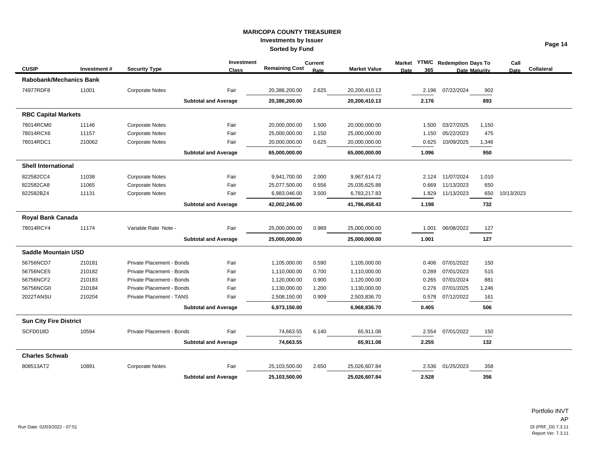|                               |             |                           | Investment                  |                       | <b>Current</b> |                     | <b>Market</b> | <b>YTM/C</b> Redemption Days To |       | Call       |            |
|-------------------------------|-------------|---------------------------|-----------------------------|-----------------------|----------------|---------------------|---------------|---------------------------------|-------|------------|------------|
| <b>CUSIP</b>                  | Investment# | <b>Security Type</b>      | <b>Class</b>                | <b>Remaining Cost</b> | Rate           | <b>Market Value</b> | 365<br>Date   | <b>Date Maturity</b>            |       | Date       | Collateral |
| Rabobank/Mechanics Bank       |             |                           |                             |                       |                |                     |               |                                 |       |            |            |
| 74977RDF8                     | 11001       | <b>Corporate Notes</b>    | Fair                        | 20,386,200.00         | 2.625          | 20,200,410.13       | 2.196         | 07/22/2024                      | 902   |            |            |
|                               |             |                           | <b>Subtotal and Average</b> | 20,386,200.00         |                | 20,200,410.13       | 2.176         |                                 | 893   |            |            |
| <b>RBC Capital Markets</b>    |             |                           |                             |                       |                |                     |               |                                 |       |            |            |
| 78014RCM0                     | 11146       | <b>Corporate Notes</b>    | Fair                        | 20,000,000.00         | 1.500          | 20,000,000.00       | 1.500         | 03/27/2025                      | 1,150 |            |            |
| 78014RCX6                     | 11157       | <b>Corporate Notes</b>    | Fair                        | 25,000,000.00         | 1.150          | 25,000,000.00       | 1.150         | 05/22/2023                      | 475   |            |            |
| 78014RDC1                     | 210062      | <b>Corporate Notes</b>    | Fair                        | 20,000,000.00         | 0.625          | 20,000,000.00       | 0.625         | 10/09/2025                      | 1,346 |            |            |
|                               |             |                           | <b>Subtotal and Average</b> | 65,000,000.00         |                | 65,000,000.00       | 1.096         |                                 | 950   |            |            |
| <b>Shell International</b>    |             |                           |                             |                       |                |                     |               |                                 |       |            |            |
| 822582CC4                     | 11038       | <b>Corporate Notes</b>    | Fair                        | 9,941,700.00          | 2.000          | 9,967,614.72        |               | 2.124 11/07/2024                | 1,010 |            |            |
| 822582CA8                     | 11065       | <b>Corporate Notes</b>    | Fair                        | 25,077,500.00         | 0.556          | 25,035,625.88       | 0.669         | 11/13/2023                      | 650   |            |            |
| 822582BZ4                     | 11131       | <b>Corporate Notes</b>    | Fair                        | 6,983,046.00          | 3.500          | 6,783,217.83        | 1.829         | 11/13/2023                      | 650   | 10/13/2023 |            |
|                               |             |                           | <b>Subtotal and Average</b> | 42,002,246.00         |                | 41,786,458.43       | 1.198         |                                 | 732   |            |            |
| <b>Royal Bank Canada</b>      |             |                           |                             |                       |                |                     |               |                                 |       |            |            |
| 78014RCY4                     | 11174       | Variable Rate Note -      | Fair                        | 25,000,000.00         | 0.989          | 25,000,000.00       | 1.001         | 06/08/2022                      | 127   |            |            |
|                               |             |                           | <b>Subtotal and Average</b> | 25,000,000.00         |                | 25,000,000.00       | 1.001         |                                 | 127   |            |            |
| <b>Saddle Mountain USD</b>    |             |                           |                             |                       |                |                     |               |                                 |       |            |            |
| 56756NCD7                     | 210181      | Private Placement - Bonds | Fair                        | 1,105,000.00          | 0.590          | 1,105,000.00        | 0.406         | 07/01/2022                      | 150   |            |            |
| 56756NCE5                     | 210182      | Private Placement - Bonds | Fair                        | 1,110,000.00          | 0.700          | 1,110,000.00        | 0.289         | 07/01/2023                      | 515   |            |            |
| 56756NCF2                     | 210183      | Private Placement - Bonds | Fair                        | 1,120,000.00          | 0.900          | 1,120,000.00        | 0.265         | 07/01/2024                      | 881   |            |            |
| 56756NCG0                     | 210184      | Private Placement - Bonds | Fair                        | 1,130,000.00          | 1.200          | 1,130,000.00        | 0.276         | 07/01/2025                      | 1,246 |            |            |
| 2022TANSU                     | 210204      | Private Placement - TANS  | Fair                        | 2,508,150.00          | 0.909          | 2,503,836.70        | 0.578         | 07/12/2022                      | 161   |            |            |
|                               |             |                           | <b>Subtotal and Average</b> | 6,973,150.00          |                | 6,968,836.70        | 0.405         |                                 | 506   |            |            |
| <b>Sun City Fire District</b> |             |                           |                             |                       |                |                     |               |                                 |       |            |            |
| SCFD018D                      | 10594       | Private Placement - Bonds | Fair                        | 74,663.55             | 6.140          | 65,911.08           | 2.554         | 07/01/2022                      | 150   |            |            |
|                               |             |                           | <b>Subtotal and Average</b> | 74,663.55             |                | 65,911.08           | 2.255         |                                 | 132   |            |            |
| <b>Charles Schwab</b>         |             |                           |                             |                       |                |                     |               |                                 |       |            |            |
| 808513AT2                     | 10891       | <b>Corporate Notes</b>    | Fair                        | 25,103,500.00         | 2.650          | 25,026,607.84       | 2.536         | 01/25/2023                      | 358   |            |            |
|                               |             |                           | <b>Subtotal and Average</b> | 25,103,500.00         |                | 25,026,607.84       | 2.528         |                                 | 356   |            |            |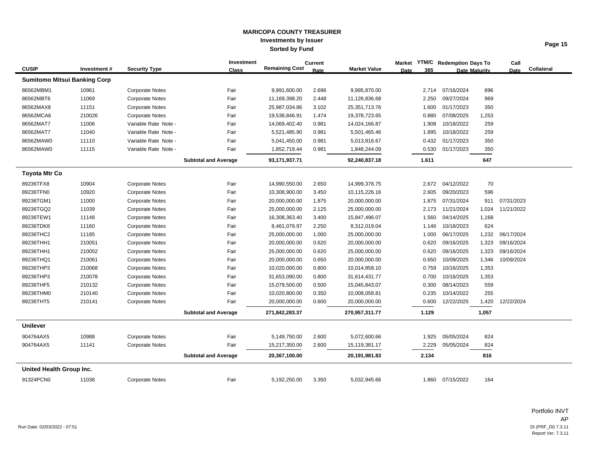|                          |                                     |                        | Investment                  |                       | <b>Current</b> |                     |             |       | Market YTM/C Redemption Days To |                      | Call        |            |
|--------------------------|-------------------------------------|------------------------|-----------------------------|-----------------------|----------------|---------------------|-------------|-------|---------------------------------|----------------------|-------------|------------|
| <b>CUSIP</b>             | Investment#                         | <b>Security Type</b>   | <b>Class</b>                | <b>Remaining Cost</b> | Rate           | <b>Market Value</b> | <b>Date</b> | 365   |                                 | <b>Date Maturity</b> | <b>Date</b> | Collateral |
|                          | <b>Sumitomo Mitsui Banking Corp</b> |                        |                             |                       |                |                     |             |       |                                 |                      |             |            |
| 86562MBM1                | 10961                               | <b>Corporate Notes</b> | Fair                        | 9,991,600.00          | 2.696          | 9,995,870.00        |             | 2.714 | 07/16/2024                      | 896                  |             |            |
| 86562MBT6                | 11069                               | <b>Corporate Notes</b> | Fair                        | 11,169,398.20         | 2.448          | 11,126,836.68       |             | 2.250 | 09/27/2024                      | 969                  |             |            |
| 86562MAX8                | 11151                               | <b>Corporate Notes</b> | Fair                        | 25,987,034.86         | 3.102          | 25,351,713.76       |             | 1.600 | 01/17/2023                      | 350                  |             |            |
| 86562MCA6                | 210026                              | <b>Corporate Notes</b> | Fair                        | 19,538,846.91         | 1.474          | 19,378,723.65       |             | 0.880 | 07/08/2025                      | 1,253                |             |            |
| 86562MAT7                | 11006                               | Variable Rate Note -   | Fair                        | 14,069,402.40         | 0.981          | 14,024,166.87       |             | 1.908 | 10/18/2022                      | 259                  |             |            |
| 86562MAT7                | 11040                               | Variable Rate Note -   | Fair                        | 5,521,485.90          | 0.981          | 5,501,465.46        |             | 1.895 | 10/18/2022                      | 259                  |             |            |
| 86562MAW0                | 11110                               | Variable Rate Note -   | Fair                        | 5,041,450.00          | 0.981          | 5,013,816.67        |             | 0.432 | 01/17/2023                      | 350                  |             |            |
| 86562MAW0                | 11115                               | Variable Rate Note -   | Fair                        | 1,852,719.44          | 0.981          | 1,848,244.09        |             | 0.530 | 01/17/2023                      | 350                  |             |            |
|                          |                                     |                        | <b>Subtotal and Average</b> | 93,171,937.71         |                | 92,240,837.18       |             | 1.611 |                                 | 647                  |             |            |
| <b>Toyota Mtr Co</b>     |                                     |                        |                             |                       |                |                     |             |       |                                 |                      |             |            |
| 89236TFX8                | 10904                               | <b>Corporate Notes</b> | Fair                        | 14,990,550.00         | 2.650          | 14,999,378.75       |             | 2.672 | 04/12/2022                      | 70                   |             |            |
| 89236TFN0                | 10920                               | <b>Corporate Notes</b> | Fair                        | 10,308,900.00         | 3.450          | 10,115,226.16       |             | 2.605 | 09/20/2023                      | 596                  |             |            |
| 89236TGM1                | 11000                               | <b>Corporate Notes</b> | Fair                        | 20,000,000.00         | 1.875          | 20,000,000.00       |             | 1.875 | 07/31/2024                      | 911                  | 07/31/2023  |            |
| 89236TGQ2                | 11039                               | <b>Corporate Notes</b> | Fair                        | 25,000,000.00         | 2.125          | 25,000,000.00       |             | 2.173 | 11/21/2024                      | 1,024                | 11/21/2022  |            |
| 89236TEW1                | 11148                               | <b>Corporate Notes</b> | Fair                        | 16,308,363.40         | 3.400          | 15,847,496.07       |             | 1.560 | 04/14/2025                      | 1,168                |             |            |
| 89236TDK8                | 11160                               | <b>Corporate Notes</b> | Fair                        | 8,461,079.97          | 2.250          | 8,312,019.04        |             | 1.146 | 10/18/2023                      | 624                  |             |            |
| 89236THC2                | 11185                               | <b>Corporate Notes</b> | Fair                        | 25,000,000.00         | 1.000          | 25,000,000.00       |             | 1.000 | 06/17/2025                      | 1,232                | 06/17/2024  |            |
| 89236THH1                | 210051                              | <b>Corporate Notes</b> | Fair                        | 20,000,000.00         | 0.620          | 20,000,000.00       |             | 0.620 | 09/16/2025                      | 1,323                | 09/16/2024  |            |
| 89236THH1                | 210052                              | <b>Corporate Notes</b> | Fair                        | 25,000,000.00         | 0.620          | 25,000,000.00       |             | 0.620 | 09/16/2025                      | 1,323                | 09/16/2024  |            |
| 89236THQ1                | 210061                              | <b>Corporate Notes</b> | Fair                        | 20,000,000.00         | 0.650          | 20,000,000.00       |             | 0.650 | 10/09/2025                      | 1,346                | 10/09/2024  |            |
| 89236THP3                | 210068                              | <b>Corporate Notes</b> | Fair                        | 10,020,000.00         | 0.800          | 10,014,858.10       |             | 0.759 | 10/16/2025                      | 1,353                |             |            |
| 89236THP3                | 210078                              | <b>Corporate Notes</b> | Fair                        | 31,653,090.00         | 0.800          | 31,614,431.77       |             | 0.700 | 10/16/2025                      | 1,353                |             |            |
| 89236THF5                | 210132                              | <b>Corporate Notes</b> | Fair                        | 15,079,500.00         | 0.500          | 15,045,843.07       |             | 0.300 | 08/14/2023                      | 559                  |             |            |
| 89236THM0                | 210140                              | <b>Corporate Notes</b> | Fair                        | 10,020,800.00         | 0.350          | 10,008,058.81       |             | 0.235 | 10/14/2022                      | 255                  |             |            |
| 89236THT5                | 210141                              | <b>Corporate Notes</b> | Fair                        | 20,000,000.00         | 0.600          | 20,000,000.00       |             | 0.600 | 12/22/2025                      | 1,420                | 12/22/2024  |            |
|                          |                                     |                        | <b>Subtotal and Average</b> | 271,842,283.37        |                | 270,957,311.77      |             | 1.129 |                                 | 1,057                |             |            |
| <b>Unilever</b>          |                                     |                        |                             |                       |                |                     |             |       |                                 |                      |             |            |
| 904764AX5                | 10988                               | <b>Corporate Notes</b> | Fair                        | 5,149,750.00          | 2.600          | 5,072,600.66        |             | 1.925 | 05/05/2024                      | 824                  |             |            |
| 904764AX5                | 11141                               | <b>Corporate Notes</b> | Fair                        | 15,217,350.00         | 2.600          | 15,119,381.17       |             | 2.229 | 05/05/2024                      | 824                  |             |            |
|                          |                                     |                        | <b>Subtotal and Average</b> | 20,367,100.00         |                | 20,191,981.83       |             | 2.134 |                                 | 816                  |             |            |
| United Health Group Inc. |                                     |                        |                             |                       |                |                     |             |       |                                 |                      |             |            |
| 91324PCN0                | 11036                               | <b>Corporate Notes</b> | Fair                        | 5,192,250.00          | 3.350          | 5,032,945.66        |             | 1.860 | 07/15/2022                      | 164                  |             |            |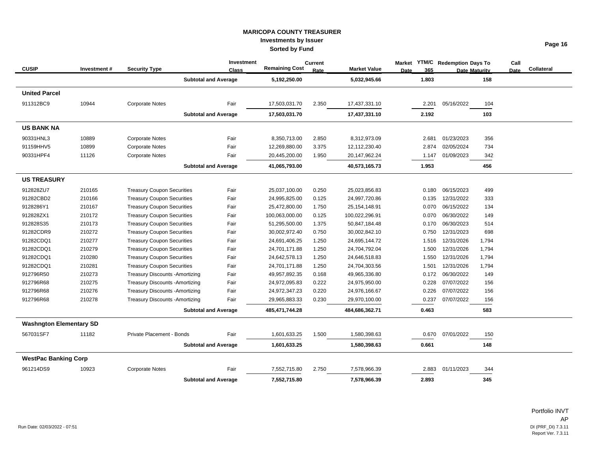|                                |             |                                        | Investment                  |                       | <b>Current</b> |                     | <b>Market</b>      | <b>YTM/C</b> Redemption Days To |       | Call        |            |
|--------------------------------|-------------|----------------------------------------|-----------------------------|-----------------------|----------------|---------------------|--------------------|---------------------------------|-------|-------------|------------|
| <b>CUSIP</b>                   | Investment# | <b>Security Type</b>                   | <b>Class</b>                | <b>Remaining Cost</b> | Rate           | <b>Market Value</b> | 365<br><b>Date</b> | <b>Date Maturity</b>            |       | <b>Date</b> | Collateral |
|                                |             |                                        | <b>Subtotal and Average</b> | 5,192,250.00          |                | 5,032,945.66        | 1.803              |                                 | 158   |             |            |
| <b>United Parcel</b>           |             |                                        |                             |                       |                |                     |                    |                                 |       |             |            |
| 911312BC9                      | 10944       | <b>Corporate Notes</b>                 | Fair                        | 17,503,031.70         | 2.350          | 17,437,331.10       | 2.201              | 05/16/2022                      | 104   |             |            |
|                                |             |                                        | <b>Subtotal and Average</b> | 17,503,031.70         |                | 17,437,331.10       | 2.192              |                                 | 103   |             |            |
| <b>US BANK NA</b>              |             |                                        |                             |                       |                |                     |                    |                                 |       |             |            |
| 90331HNL3                      | 10889       | <b>Corporate Notes</b>                 | Fair                        | 8,350,713.00          | 2.850          | 8,312,973.09        | 2.681              | 01/23/2023                      | 356   |             |            |
| 91159HHV5                      | 10899       | <b>Corporate Notes</b>                 | Fair                        | 12,269,880.00         | 3.375          | 12,112,230.40       | 2.874              | 02/05/2024                      | 734   |             |            |
| 90331HPF4                      | 11126       | <b>Corporate Notes</b>                 | Fair                        | 20,445,200.00         | 1.950          | 20,147,962.24       | 1.147              | 01/09/2023                      | 342   |             |            |
|                                |             |                                        | <b>Subtotal and Average</b> | 41,065,793.00         |                | 40,573,165.73       | 1.953              |                                 | 456   |             |            |
| <b>US TREASURY</b>             |             |                                        |                             |                       |                |                     |                    |                                 |       |             |            |
| 912828ZU7                      | 210165      | <b>Treasury Coupon Securities</b>      | Fair                        | 25,037,100.00         | 0.250          | 25,023,856.83       | 0.180              | 06/15/2023                      | 499   |             |            |
| 91282CBD2                      | 210166      | <b>Treasury Coupon Securities</b>      | Fair                        | 24,995,825.00         | 0.125          | 24,997,720.86       | 0.135              | 12/31/2022                      | 333   |             |            |
| 9128286Y1                      | 210167      | <b>Treasury Coupon Securities</b>      | Fair                        | 25,472,800.00         | 1.750          | 25,154,148.91       | 0.070              | 06/15/2022                      | 134   |             |            |
| 912828ZX1                      | 210172      | <b>Treasury Coupon Securities</b>      | Fair                        | 100,063,000.00        | 0.125          | 100,022,296.91      | 0.070              | 06/30/2022                      | 149   |             |            |
| 912828S35                      | 210173      | <b>Treasury Coupon Securities</b>      | Fair                        | 51,295,500.00         | 1.375          | 50,847,184.48       | 0.170              | 06/30/2023                      | 514   |             |            |
| 91282CDR9                      | 210272      | <b>Treasury Coupon Securities</b>      | Fair                        | 30,002,972.40         | 0.750          | 30,002,842.10       | 0.750              | 12/31/2023                      | 698   |             |            |
| 91282CDQ1                      | 210277      | <b>Treasury Coupon Securities</b>      | Fair                        | 24,691,406.25         | 1.250          | 24,695,144.72       | 1.516              | 12/31/2026                      | 1,794 |             |            |
| 91282CDQ1                      | 210279      | <b>Treasury Coupon Securities</b>      | Fair                        | 24,701,171.88         | 1.250          | 24,704,792.04       | 1.500              | 12/31/2026                      | 1,794 |             |            |
| 91282CDQ1                      | 210280      | <b>Treasury Coupon Securities</b>      | Fair                        | 24,642,578.13         | 1.250          | 24,646,518.83       | 1.550              | 12/31/2026                      | 1,794 |             |            |
| 91282CDQ1                      | 210281      | <b>Treasury Coupon Securities</b>      | Fair                        | 24,701,171.88         | 1.250          | 24,704,303.56       | 1.501              | 12/31/2026                      | 1,794 |             |            |
| 912796R50                      | 210273      | <b>Treasury Discounts - Amortizing</b> | Fair                        | 49,957,892.35         | 0.168          | 49,965,336.80       | 0.172              | 06/30/2022                      | 149   |             |            |
| 912796R68                      | 210275      | <b>Treasury Discounts - Amortizing</b> | Fair                        | 24,972,095.83         | 0.222          | 24,975,950.00       | 0.228              | 07/07/2022                      | 156   |             |            |
| 912796R68                      | 210276      | <b>Treasury Discounts - Amortizing</b> | Fair                        | 24,972,347.23         | 0.220          | 24,976,166.67       | 0.226              | 07/07/2022                      | 156   |             |            |
| 912796R68                      | 210278      | <b>Treasury Discounts - Amortizing</b> | Fair                        | 29,965,883.33         | 0.230          | 29,970,100.00       | 0.237              | 07/07/2022                      | 156   |             |            |
|                                |             |                                        | <b>Subtotal and Average</b> | 485,471,744.28        |                | 484,686,362.71      | 0.463              |                                 | 583   |             |            |
| <b>Washngton Elementary SD</b> |             |                                        |                             |                       |                |                     |                    |                                 |       |             |            |
| 567031SF7                      | 11182       | Private Placement - Bonds              | Fair                        | 1,601,633.25          | 1.500          | 1,580,398.63        | 0.670              | 07/01/2022                      | 150   |             |            |
|                                |             |                                        | <b>Subtotal and Average</b> | 1,601,633.25          |                | 1,580,398.63        | 0.661              |                                 | 148   |             |            |
| <b>WestPac Banking Corp</b>    |             |                                        |                             |                       |                |                     |                    |                                 |       |             |            |
| 961214DS9                      | 10923       | <b>Corporate Notes</b>                 | Fair                        | 7,552,715.80          | 2.750          | 7,578,966.39        | 2.883              | 01/11/2023                      | 344   |             |            |
|                                |             |                                        | <b>Subtotal and Average</b> | 7,552,715.80          |                | 7,578,966.39        | 2.893              |                                 | 345   |             |            |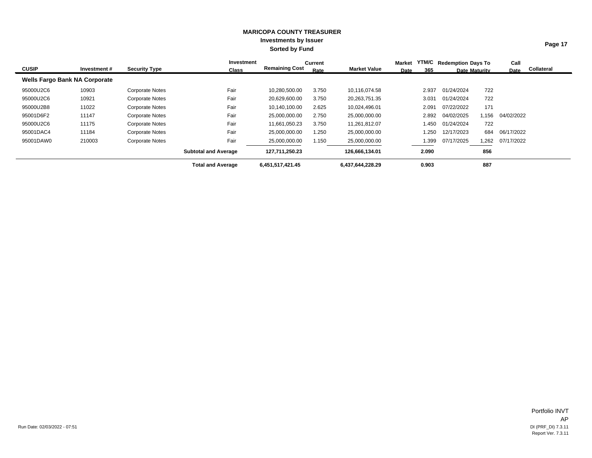| <b>CUSIP</b> | Investment #                         | <b>Security Type</b>   | Investment<br><b>Class</b>  | <b>Remaining Cost</b> | Current<br>Rate | <b>Market Value</b> | Market<br>Date | 365   | YTM/C Redemption Days To<br><b>Date Maturity</b> |       | Call<br>Date | Collateral |
|--------------|--------------------------------------|------------------------|-----------------------------|-----------------------|-----------------|---------------------|----------------|-------|--------------------------------------------------|-------|--------------|------------|
|              | <b>Wells Fargo Bank NA Corporate</b> |                        |                             |                       |                 |                     |                |       |                                                  |       |              |            |
| 95000U2C6    | 10903                                | <b>Corporate Notes</b> | Fair                        | 10,280,500.00         | 3.750           | 10,116,074.58       |                | 2.937 | 01/24/2024                                       | 722   |              |            |
| 95000U2C6    | 10921                                | <b>Corporate Notes</b> | Fair                        | 20,629,600.00         | 3.750           | 20,263,751.35       |                | 3.031 | 01/24/2024                                       | 722   |              |            |
| 95000U2B8    | 11022                                | <b>Corporate Notes</b> | Fair                        | 10,140,100.00         | 2.625           | 10,024,496.01       |                | 2.091 | 07/22/2022                                       | 171   |              |            |
| 95001D6F2    | 11147                                | <b>Corporate Notes</b> | Fair                        | 25,000,000.00         | 2.750           | 25,000,000.00       |                | 2.892 | 04/02/2025                                       | 1,156 | 04/02/2022   |            |
| 95000U2C6    | 11175                                | <b>Corporate Notes</b> | Fair                        | 11.661.050.23         | 3.750           | 11,261,812.07       |                | 1.450 | 01/24/2024                                       | 722   |              |            |
| 95001DAC4    | 11184                                | <b>Corporate Notes</b> | Fair                        | 25,000,000.00         | 1.250           | 25,000,000.00       |                | 1.250 | 12/17/2023                                       | 684   | 06/17/2022   |            |
| 95001DAW0    | 210003                               | <b>Corporate Notes</b> | Fair                        | 25,000,000.00         | 1.150           | 25,000,000.00       |                | 1.399 | 07/17/2025                                       | 1,262 | 07/17/2022   |            |
|              |                                      |                        | <b>Subtotal and Average</b> | 127,711,250.23        |                 | 126,666,134.01      |                | 2.090 |                                                  | 856   |              |            |
|              |                                      |                        | <b>Total and Average</b>    | 6,451,517,421.45      |                 | 6,437,644,228.29    |                | 0.903 |                                                  | 887   |              |            |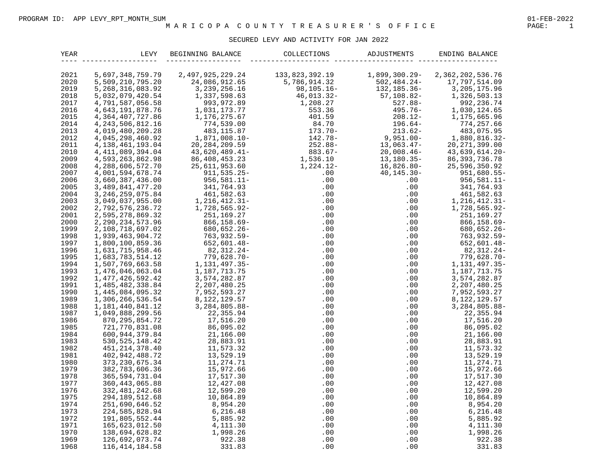# SECURED LEVY AND ACTIVITY FOR JAN 2022

| YEAR | LEVY                 | BEGINNING BALANCE    | COLLECTIONS    | ADJUSTMENTS     | ENDING BALANCE     |
|------|----------------------|----------------------|----------------|-----------------|--------------------|
|      |                      |                      |                |                 |                    |
| 2021 | 5,697,348,759.79     | 2, 497, 925, 229. 24 | 133,823,392.19 | 1,899,300.29-   | 2,362,202,536.76   |
| 2020 | 5,509,210,795.20     | 24,086,912.65        | 5,786,914.32   | $502, 484.24 -$ | 17,797,514.09      |
| 2019 | 5, 268, 316, 083. 92 | 3, 239, 256. 16      | $98, 105.16 -$ | 132,185.36-     | 3, 205, 175.96     |
| 2018 | 5,032,079,420.54     | 1,337,598.63         | $46,013.32-$   | $57,108.82 -$   | 1,326,503.13       |
| 2017 | 4,791,587,056.58     | 993, 972.89          | 1,208.27       | $527.88 -$      | 992, 236.74        |
| 2016 | 4,643,191,878.76     | 1,031,173.77         | 553.36         | $495.76 -$      | 1,030,124.65       |
| 2015 | 4, 364, 407, 727.86  | 1,176,275.67         | 401.59         | $208.12-$       | 1, 175, 665.96     |
| 2014 | 4, 243, 506, 812. 16 | 774,539.00           | 84.70          | $196.64-$       | 774,257.66         |
| 2013 | 4,019,480,209.28     | 483,115.87           | $173.70-$      | $213.62-$       | 483,075.95         |
| 2012 | 4,045,298,460.92     | $1,871,008.10-$      | 142.78-        | $9,951.00 -$    | $1,880,816.32-$    |
| 2011 | 4, 138, 461, 193.04  | 20, 284, 209.59      | $252.88-$      | $13,063.47-$    | 20, 271, 399.00    |
| 2010 | 4, 411, 089, 394.04  | 43,620,489.41-       | $883.67-$      | $20,008.46-$    | 43,639,614.20-     |
| 2009 | 4,593,263,862.98     | 86, 408, 453. 23     | 1,536.10       | $13, 180.35 -$  | 86, 393, 736.78    |
| 2008 | 4, 288, 606, 572. 70 | 25,611,953.60        | 1,224.12-      | $16,826.80-$    | 25,596,350.92      |
| 2007 | 4,001,594,678.74     | $911, 535.25 -$      | .00            | $40, 145.30 -$  | $951,680.55 -$     |
| 2006 | 3,660,387,436.00     | $956,581.11 -$       | .00            | .00             | $956,581.11 -$     |
| 2005 | 3, 489, 841, 477. 20 | 341,764.93           | .00            | .00             | 341,764.93         |
| 2004 | 3, 246, 259, 075.84  | 461,582.63           | .00            | .00             | 461,582.63         |
| 2003 | 3,049,037,955.00     | $1, 216, 412.31 -$   | .00            | .00             | $1, 216, 412.31 -$ |
| 2002 | 2,792,576,236.72     | $1,728,565.92-$      | .00            | .00             | $1,728,565.92-$    |
| 2001 | 2,595,278,869.32     | 251,169.27           | .00            | .00             | 251,169.27         |
| 2000 | 2, 290, 234, 573. 96 | $866, 158.69 -$      | .00            | .00             | $866, 158.69 -$    |
| 1999 | 2,108,718,697.02     | $680, 652.26 -$      | .00            | .00             | $680, 652.26 -$    |
| 1998 | 1,939,463,904.72     | $763, 932.59 -$      | .00            | .00             | $763, 932.59 -$    |
| 1997 | 1,800,100,859.36     | $652,601.48 -$       | .00            | .00             | $652,601.48-$      |
| 1996 | 1,631,715,958.46     | 82,312.24-           | .00            | .00             | $82,312.24-$       |
| 1995 | 1,683,783,514.12     | $779,628.70 -$       | .00            | .00             | $779,628.70 -$     |
| 1994 | 1,507,769,663.58     | 1, 131, 497. 35-     | .00            | .00             | 1, 131, 497. 35-   |
| 1993 | 1,476,046,063.04     | 1,187,713.75         | .00            | .00             | 1,187,713.75       |
| 1992 | 1, 477, 426, 592. 42 | 3,574,282.87         | .00            | .00             | 3,574,282.87       |
| 1991 | 1,485,482,338.84     | 2, 207, 480.25       | .00            | .00             | 2, 207, 480.25     |
| 1990 | 1,445,084,095.32     | 7,952,593.27         | .00            | .00             | 7,952,593.27       |
| 1989 | 1,306,266,536.54     | 8, 122, 129.57       | .00            | .00             | 8, 122, 129.57     |
| 1988 | 1, 181, 440, 841. 12 | 3, 284, 805.88-      | .00            | .00             | $3,284,805.88-$    |
| 1987 | 1,049,888,299.56     | 22,355.94            | .00            | .00             | 22,355.94          |
| 1986 | 870, 295, 854. 72    | 17,516.20            | .00            | .00             | 17,516.20          |
| 1985 | 721,770,831.08       | 86,095.02            | .00            | .00             | 86,095.02          |
| 1984 | 600, 944, 379.84     | 21,166.00            | .00            | .00             | 21,166.00          |
| 1983 | 530, 525, 148.42     | 28,883.91            | .00            | .00             | 28,883.91          |
| 1982 | 451, 214, 378.40     | 11,573.32            | .00            | .00             | 11,573.32          |
| 1981 | 402, 942, 488.72     | 13,529.19            | .00            | .00             | 13,529.19          |
| 1980 | 373, 230, 675.34     | 11,274.71            | .00            | .00             | 11, 274.71         |
| 1979 | 382,783,606.36       | 15,972.66            | .00            | .00             | 15,972.66          |
| 1978 | 365, 594, 731.04     | 17,517.30            | .00            | .00             | 17,517.30          |
| 1977 | 360, 443, 065.88     | 12,427.08            | .00            | .00             | 12,427.08          |
| 1976 | 332, 481, 242.68     | 12,599.20            | .00            | .00             | 12,599.20          |
| 1975 | 294, 189, 512.68     | 10,864.89            | .00            | .00             | 10,864.89          |
| 1974 | 251,690,646.52       | 8,954.20             | .00            | .00             | 8,954.20           |
| 1973 | 224,585,828.94       | 6,216.48             | .00            | .00             | 6,216.48           |
| 1972 | 191,805,552.44       | 5,885.92             | .00            | .00             | 5,885.92           |
| 1971 | 165,623,012.50       | 4,111.30             | .00            | .00             | 4, 111.30          |
| 1970 | 138,694,628.82       | 1,998.26             | .00            | .00             | 1,998.26           |
| 1969 | 126,692,073.74       | 922.38               | .00            | .00             | 922.38             |
| 1968 | 116, 414, 184.58     | 331.83               | .00            | .00             | 331.83             |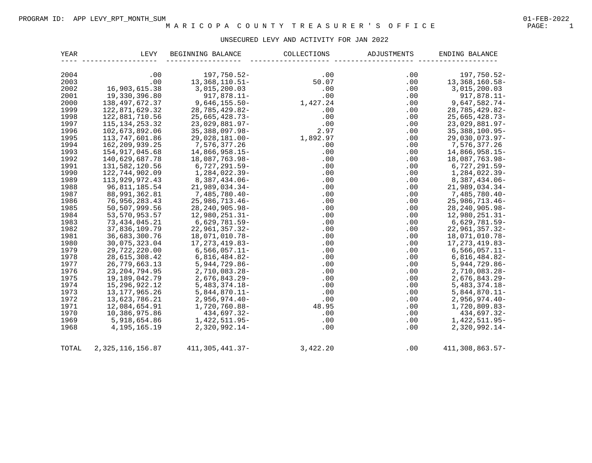# UNSECURED LEVY AND ACTIVITY FOR JAN 2022

| <b>YEAR</b> | LEVY                | BEGINNING BALANCE   | COLLECTIONS | ADJUSTMENTS | ENDING BALANCE       |
|-------------|---------------------|---------------------|-------------|-------------|----------------------|
| 2004        | .00                 | 197,750.52-         | .00         | .00         | 197,750.52-          |
| 2003        | .00                 | $13,368,110.51-$    | 50.07       | .00         | $13,368,160.58-$     |
| 2002        | 16,903,615.38       | 3,015,200.03        | .00         | .00         | 3,015,200.03         |
| 2001        | 19,330,396.80       | $917,878.11 -$      | .00         | .00         | $917,878.11 -$       |
| 2000        | 138, 497, 672.37    | $9,646,155.50 -$    | 1,427.24    | .00         | $9,647,582.74-$      |
| 1999        | 122,871,629.32      | 28,785,429.82-      | .00         | .00         | 28,785,429.82-       |
| 1998        | 122,881,710.56      | $25,665,428.73-$    | .00         | .00         | $25,665,428.73-$     |
| 1997        | 115, 134, 253. 32   | $23,029,881.97-$    | .00         | .00         | $23,029,881.97-$     |
| 1996        | 102,673,892.06      | 35, 388, 097.98-    | 2.97        | .00         | $35,388,100.95-$     |
| 1995        | 113,747,601.86      | 29,028,181.00-      | 1,892.97    | .00         | $29,030,073.97 -$    |
| 1994        | 162, 209, 939. 25   | 7,576,377.26        | .00         | .00         | 7,576,377.26         |
| 1993        | 154, 917, 045.68    | 14,866,958.15-      | .00         | .00         | $14,866,958.15-$     |
| 1992        | 140,629,687.78      | 18,087,763.98-      | .00         | .00         | 18,087,763.98-       |
| 1991        | 131,582,120.56      | $6,727,291.59-$     | .00         | .00         | $6,727,291.59-$      |
| 1990        | 122,744,902.09      | 1,284,022.39-       | .00         | .00         | $1, 284, 022.39 -$   |
| 1989        | 113,929,972.43      | $8,387,434.06-$     | .00         | .00         | 8,387,434.06-        |
| 1988        | 96,811,185.54       | $21,989,034.34-$    | .00         | .00         | $21,989,034.34-$     |
| 1987        | 88,991,362.81       | 7,485,780.40-       | .00         | .00         | $7,485,780.40 -$     |
| 1986        | 76,956,283.43       | $25,986,713.46-$    | .00         | .00         | $25,986,713.46-$     |
| 1985        | 50,507,999.56       | 28, 240, 905. 98-   | .00         | .00         | $28, 240, 905.98 -$  |
| 1984        | 53, 570, 953. 57    | $12,980,251.31-$    | .00         | .00         | $12,980,251.31-$     |
| 1983        | 73, 434, 045.21     | $6,629,781.59-$     | .00         | .00         | $6,629,781.59-$      |
| 1982        | 37,836,109.79       | $22,961,357.32-$    | .00         | .00         | $22,961,357.32-$     |
| 1981        | 36,683,300.76       | 18,071,010.78-      | .00         | .00         | 18,071,010.78-       |
| 1980        | 30,075,323.04       | $17, 273, 419.83 -$ | .00         | .00         | 17, 273, 419.83-     |
| 1979        | 29,722,220.00       | $6,566,057.11-$     | .00         | .00         | $6, 566, 057.11 -$   |
| 1978        | 28,615,308.42       | $6,816,484.82-$     | .00         | .00         | $6,816,484.82-$      |
| 1977        | 26,779,663.13       | $5,944,729.86 -$    | .00         | .00         | $5,944,729.86 -$     |
| 1976        | 23, 204, 794.95     | $2,710,083.28-$     | .00         | .00         | $2,710,083.28 -$     |
| 1975        | 19,189,042.79       | 2,676,843.29-       | .00         | .00         | $2,676,843.29 -$     |
| 1974        | 15, 296, 922. 12    | $5,483,374.18-$     | .00         | .00         | $5,483,374.18-$      |
| 1973        | 13, 177, 965. 26    | $5,844,870.11-$     | .00         | .00         | $5,844,870.11 -$     |
| 1972        | 13,623,786.21       | $2,956,974.40-$     | .00         | .00         | $2,956,974.40-$      |
| 1971        | 12,084,654.91       | 1,720,760.88-       | 48.95       | .00         | $1,720,809.83-$      |
| 1970        | 10,386,975.86       | 434,697.32-         | .00         | .00         | 434,697.32-          |
| 1969        | 5,918,654.86        | $1,422,511.95-$     | .00         | .00         | $1,422,511.95-$      |
| 1968        | 4, 195, 165. 19     | $2,320,992.14-$     | .00         | .00         | $2,320,992.14-$      |
| TOTAL       | 2, 325, 116, 156.87 | $411,305,441.37-$   | 3,422.20    | .00         | $411, 308, 863.57 -$ |